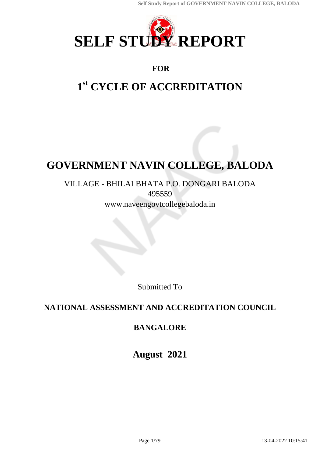

# **FOR**

# **1 st CYCLE OF ACCREDITATION**

# **GOVERNMENT NAVIN COLLEGE, BALODA**

# VILLAGE - BHILAI BHATA P.O. DONGARI BALODA 495559 www.naveengovtcollegebaloda.in

Submitted To

# **NATIONAL ASSESSMENT AND ACCREDITATION COUNCIL**

# **BANGALORE**

**August 2021**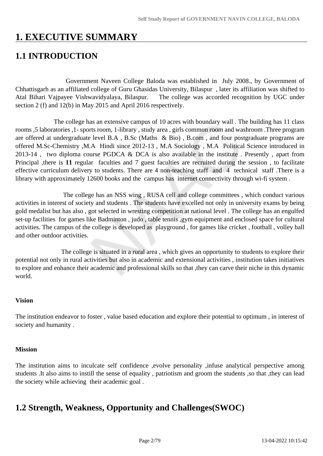# **1. EXECUTIVE SUMMARY**

# **1.1 INTRODUCTION**

 Government Naveen College Baloda was established in July 2008., by Government of Chhattisgarh as an affiliated college of Guru Ghasidas University, Bilaspur , later its affiliation was shifted to Atal Bihari Vajpayee Vishwavidyalaya, Bilaspur. The college was accorded recognition by UGC under section 2 (f) and 12(b) in May 2015 and April 2016 respectively.

 The college has an extensive campus of 10 acres with boundary wall . The building has 11 class rooms ,5 laboratories ,1- sports room, 1-library , study area , girls common room and washroom .Three program are offered at undergraduate level B.A , B.Sc (Maths & Bio) , B.com , and four postgraduate programs are offered M.Sc-Chemistry ,M.A Hindi since 2012-13 , M.A Sociology , M.A Political Science introduced in 2013-14 , two diploma course PGDCA & DCA is also available in the institute . Presently , apart from Principal , there is 11 regular faculties and 7 guest faculties are recruited during the session, to facilitate effective curriculum delivery to students. There are 4 non-teaching staff and 4 technical staff .There is a library with approximately 12600 books and the campus has internet connectivity through wi-fi system .

 The college has an NSS wing , RUSA cell and college committees , which conduct various activities in interest of society and students . The students have excelled not only in university exams by being gold medalist but has also , got selected in wresting competition at national level . The college has an engulfed set-up facilities for games like Badminton , judo , table tennis ,gym equipment and enclosed space for cultural activities. The campus of the college is developed as playground , for games like cricket , football , volley ball and other outdoor activities.

 The college is situated in a rural area , which gives an opportunity to students to explore their potential not only in rural activities but also in academic and extensional activities , institution takes initiatives to explore and enhance their academic and professional skills so that ,they can carve their niche in this dynamic world.

#### **Vision**

The institution endeavor to foster , value based education and explore their potential to optimum , in interest of society and humanity .

#### **Mission**

The institution aims to inculcate self confidence ,evolve personality ,infuse analytical perspective among students .It also aims to instill the sense of equality , patriotism and groom the students ,so that ,they can lead the society while achieving their academic goal .

# **1.2 Strength, Weakness, Opportunity and Challenges(SWOC)**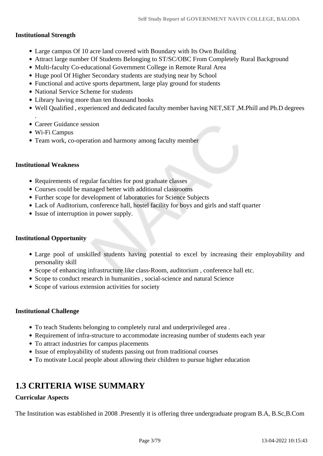#### **Institutional Strength**

- Large campus Of 10 acre land covered with Boundary with Its Own Building
- Attract large number Of Students Belonging to ST/SC/OBC From Completely Rural Background
- Multi-faculty Co-educational Government College in Remote Rural Area
- Huge pool Of Higher Secondary students are studying near by School
- Functional and active sports department, large play ground for students
- National Service Scheme for students
- Library having more than ten thousand books
- Well Qualified , experienced and dedicated faculty member having NET,SET ,M.Phill and Ph.D degrees
- Career Guidance session
- Wi-Fi Campus

.

Team work, co-operation and harmony among faculty member

#### **Institutional Weakness**

- Requirements of regular faculties for post graduate classes
- Courses could be managed better with additional classrooms
- Further scope for development of laboratories for Science Subjects
- Lack of Auditorium, conference hall, hostel facility for boys and girls and staff quarter
- Issue of interruption in power supply.

#### **Institutional Opportunity**

- Large pool of unskilled students having potential to excel by increasing their employability and personality skill
- Scope of enhancing infrastructure like class-Room, auditorium , conference hall etc.
- Scope to conduct research in humanities , social-science and natural Science
- Scope of various extension activities for society

#### **Institutional Challenge**

- To teach Students belonging to completely rural and underprivileged area .
- Requirement of infra-structure to accommodate increasing number of students each year
- To attract industries for campus placements
- Issue of employability of students passing out from traditional courses
- To motivate Local people about allowing their children to pursue higher education

# **1.3 CRITERIA WISE SUMMARY**

#### **Curricular Aspects**

The Institution was established in 2008 .Presently it is offering three undergraduate program B.A, B.Sc,B.Com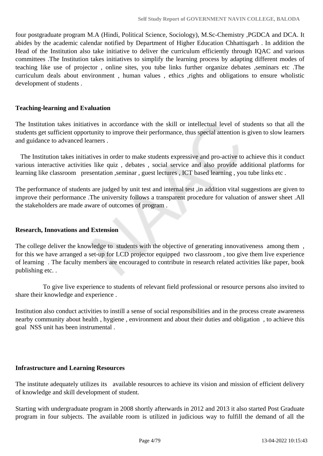four postgraduate program M.A (Hindi, Political Science, Sociology), M.Sc-Chemistry ,PGDCA and DCA. It abides by the academic calendar notified by Department of Higher Education Chhattisgarh . In addition the Head of the Institution also take initiative to deliver the curriculum efficiently through IQAC and various committees .The Institution takes initiatives to simplify the learning process by adapting different modes of teaching like use of projector , online sites, you tube links further organize debates ,seminars etc .The curriculum deals about environment , human values , ethics ,rights and obligations to ensure wholistic development of students .

#### **Teaching-learning and Evaluation**

The Institution takes initiatives in accordance with the skill or intellectual level of students so that all the students get sufficient opportunity to improve their performance, thus special attention is given to slow learners and guidance to advanced learners .

 The Institution takes initiatives in order to make students expressive and pro-active to achieve this it conduct various interactive activities like quiz , debates , social service and also provide additional platforms for learning like classroom presentation , seminar , guest lectures , ICT based learning , you tube links etc.

The performance of students are judged by unit test and internal test ,in addition vital suggestions are given to improve their performance .The university follows a transparent procedure for valuation of answer sheet .All the stakeholders are made aware of outcomes of program .

#### **Research, Innovations and Extension**

The college deliver the knowledge to students with the objective of generating innovativeness among them. for this we have arranged a set-up for LCD projector equipped two classroom , too give them live experience of learning . The faculty members are encouraged to contribute in research related activities like paper, book publishing etc. .

 To give live experience to students of relevant field professional or resource persons also invited to share their knowledge and experience .

Institution also conduct activities to instill a sense of social responsibilities and in the process create awareness nearby community about health , hygiene , environment and about their duties and obligation , to achieve this goal NSS unit has been instrumental .

#### **Infrastructure and Learning Resources**

The institute adequately utilizes its available resources to achieve its vision and mission of efficient delivery of knowledge and skill development of student.

Starting with undergraduate program in 2008 shortly afterwards in 2012 and 2013 it also started Post Graduate program in four subjects. The available room is utilized in judicious way to fulfill the demand of all the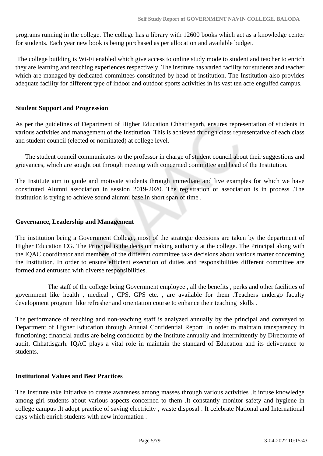programs running in the college. The college has a library with 12600 books which act as a knowledge center for students. Each year new book is being purchased as per allocation and available budget.

 The college building is Wi-Fi enabled which give access to online study mode to student and teacher to enrich they are learning and teaching experiences respectively. The institute has varied facility for students and teacher which are managed by dedicated committees constituted by head of institution. The Institution also provides adequate facility for different type of indoor and outdoor sports activities in its vast ten acre engulfed campus.

#### **Student Support and Progression**

As per the guidelines of Department of Higher Education Chhattisgarh, ensures representation of students in various activities and management of the Institution. This is achieved through class representative of each class and student council (elected or nominated) at college level.

 The student council communicates to the professor in charge of student council about their suggestions and grievances, which are sought out through meeting with concerned committee and head of the Institution.

The Institute aim to guide and motivate students through immediate and live examples for which we have constituted Alumni association in session 2019-2020. The registration of association is in process .The institution is trying to achieve sound alumni base in short span of time .

#### **Governance, Leadership and Management**

The institution being a Government College, most of the strategic decisions are taken by the department of Higher Education CG. The Principal is the decision making authority at the college. The Principal along with the IQAC coordinator and members of the different committee take decisions about various matter concerning the Institution. In order to ensure efficient execution of duties and responsibilities different committee are formed and entrusted with diverse responsibilities.

 The staff of the college being Government employee , all the benefits , perks and other facilities of government like health , medical , CPS, GPS etc. , are available for them .Teachers undergo faculty development program like refresher and orientation course to enhance their teaching skills .

The performance of teaching and non-teaching staff is analyzed annually by the principal and conveyed to Department of Higher Education through Annual Confidential Report .In order to maintain transparency in functioning; financial audits are being conducted by the Institute annually and intermittently by Directorate of audit, Chhattisgarh. IQAC plays a vital role in maintain the standard of Education and its deliverance to students.

#### **Institutional Values and Best Practices**

The Institute take initiative to create awareness among masses through various activities .It infuse knowledge among girl students about various aspects concerned to them .It constantly monitor safety and hygiene in college campus .It adopt practice of saving electricity , waste disposal . It celebrate National and International days which enrich students with new information .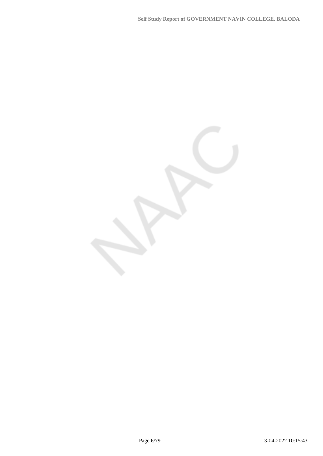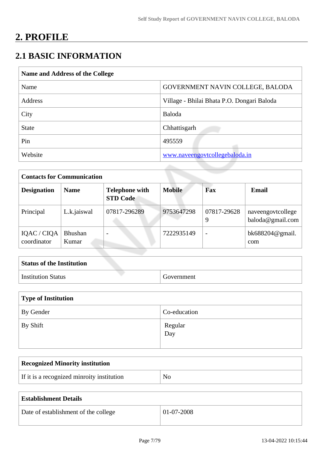# **2. PROFILE**

# **2.1 BASIC INFORMATION**

| Name and Address of the College |                                            |  |
|---------------------------------|--------------------------------------------|--|
| Name                            | GOVERNMENT NAVIN COLLEGE, BALODA           |  |
| Address                         | Village - Bhilai Bhata P.O. Dongari Baloda |  |
| City                            | Baloda                                     |  |
| <b>State</b>                    | Chhattisgarh                               |  |
| Pin                             | 495559                                     |  |
| Website                         | www.naveengovtcollegebaloda.in             |  |

| <b>Contacts for Communication</b> |                         |                                          |               |                          |                                       |
|-----------------------------------|-------------------------|------------------------------------------|---------------|--------------------------|---------------------------------------|
| <b>Designation</b>                | <b>Name</b>             | <b>Telephone with</b><br><b>STD Code</b> | <b>Mobile</b> | Fax                      | <b>Email</b>                          |
| Principal                         | L.k.jaiswal             | 07817-296289                             | 9753647298    | 07817-29628<br>9         | naveengovtcollege<br>baloda@gmail.com |
| IQAC / CIQA<br>coordinator        | <b>Bhushan</b><br>Kumar | $\overline{\phantom{0}}$                 | 7222935149    | $\overline{\phantom{0}}$ | bk688204@gmail.<br>com                |

| <b>Status of the Institution</b> |            |
|----------------------------------|------------|
| <b>Institution Status</b>        | Government |

| <b>Type of Institution</b> |                |
|----------------------------|----------------|
| By Gender                  | Co-education   |
| By Shift                   | Regular<br>Day |

| <b>Recognized Minority institution</b> |  |
|----------------------------------------|--|
| No                                     |  |
|                                        |  |

| <b>Establishment Details</b>         |            |
|--------------------------------------|------------|
| Date of establishment of the college | 01-07-2008 |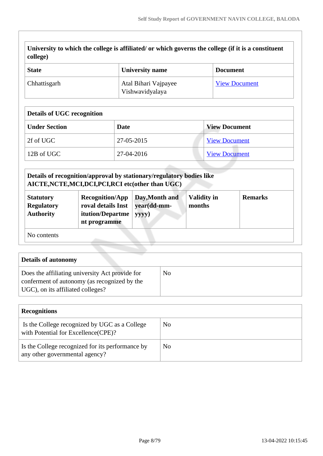| University to which the college is affiliated/ or which governs the college (if it is a constituent |
|-----------------------------------------------------------------------------------------------------|
| $\vert$ college)                                                                                    |

| <b>State</b> | University name                         | <b>Document</b>      |
|--------------|-----------------------------------------|----------------------|
| Chhattisgarh | Atal Bihari Vajpayee<br>Vishwavidyalaya | <b>View Document</b> |

# **Details of UGC recognition**

| <b>Under Section</b><br>Date |            | <b>View Document</b> |
|------------------------------|------------|----------------------|
| 2f of UGC                    | 27-05-2015 | <b>View Document</b> |
| 12B of UGC                   | 27-04-2016 | <b>View Document</b> |

|                                                           | Details of recognition/approval by stationary/regulatory bodies like<br>AICTE, NCTE, MCI, DCI, PCI, RCI etc(other than UGC) |                                        |                              |                |
|-----------------------------------------------------------|-----------------------------------------------------------------------------------------------------------------------------|----------------------------------------|------------------------------|----------------|
| <b>Statutory</b><br><b>Regulatory</b><br><b>Authority</b> | <b>Recognition/App</b><br>roval details Inst<br>itution/Departme<br>nt programme                                            | Day, Month and<br>year(dd-mm-<br>yyyy) | <b>Validity in</b><br>months | <b>Remarks</b> |
| No contents                                               |                                                                                                                             |                                        |                              |                |

| Details of autonomy                                                                                                                  |    |
|--------------------------------------------------------------------------------------------------------------------------------------|----|
| Does the affiliating university Act provide for<br>conferment of autonomy (as recognized by the<br>UGC), on its affiliated colleges? | No |

| <b>Recognitions</b>                                                                  |     |
|--------------------------------------------------------------------------------------|-----|
| Is the College recognized by UGC as a College<br>with Potential for Excellence(CPE)? | No  |
| Is the College recognized for its performance by<br>any other governmental agency?   | No. |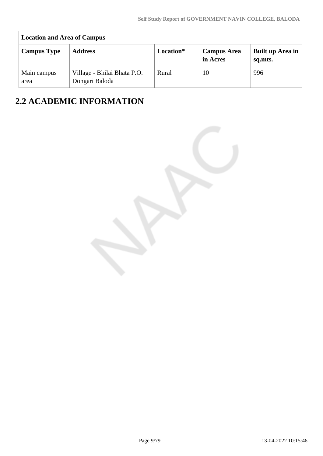| <b>Location and Area of Campus</b> |                                               |           |                                |                             |  |  |  |  |  |
|------------------------------------|-----------------------------------------------|-----------|--------------------------------|-----------------------------|--|--|--|--|--|
| <b>Campus Type</b>                 | <b>Address</b>                                | Location* | <b>Campus Area</b><br>in Acres | Built up Area in<br>sq.mts. |  |  |  |  |  |
| Main campus<br>area                | Village - Bhilai Bhata P.O.<br>Dongari Baloda | Rural     | 10                             | 996                         |  |  |  |  |  |

# **2.2 ACADEMIC INFORMATION**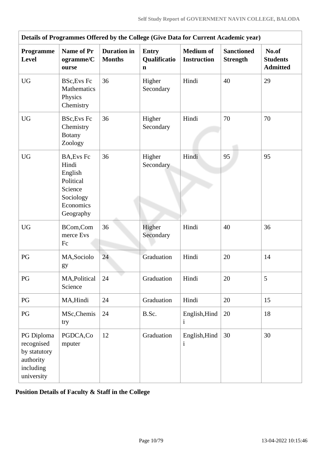|                                                                                  |                                                                                                      |                                     |                                             | Details of Programmes Offered by the College (Give Data for Current Academic year) |                                      |                                             |
|----------------------------------------------------------------------------------|------------------------------------------------------------------------------------------------------|-------------------------------------|---------------------------------------------|------------------------------------------------------------------------------------|--------------------------------------|---------------------------------------------|
| Programme<br><b>Level</b>                                                        | <b>Name of Pr</b><br>ogramme/C<br>ourse                                                              | <b>Duration</b> in<br><b>Months</b> | <b>Entry</b><br>Qualificatio<br>$\mathbf n$ | <b>Medium</b> of<br><b>Instruction</b>                                             | <b>Sanctioned</b><br><b>Strength</b> | No.of<br><b>Students</b><br><b>Admitted</b> |
| <b>UG</b>                                                                        | <b>BSc, Evs</b> Fc<br>Mathematics<br>Physics<br>Chemistry                                            | 36                                  | Higher<br>Secondary                         | Hindi                                                                              | 40                                   | 29                                          |
| <b>UG</b>                                                                        | <b>BSc, Evs</b> Fc<br>Chemistry<br><b>Botany</b><br>Zoology                                          | 36                                  | Higher<br>Secondary                         | Hindi                                                                              | 70                                   | 70                                          |
| <b>UG</b>                                                                        | <b>BA, Evs Fc</b><br>Hindi<br>English<br>Political<br>Science<br>Sociology<br>Economics<br>Geography | 36                                  | Higher<br>Secondary                         | Hindi                                                                              | 95                                   | 95                                          |
| <b>UG</b>                                                                        | BCom,Com<br>merce Evs<br>Fc                                                                          | 36                                  | Higher<br>Secondary                         | Hindi                                                                              | 40                                   | 36                                          |
| PG                                                                               | MA, Sociolo<br>gy                                                                                    | 24                                  | Graduation                                  | Hindi                                                                              | 20                                   | 14                                          |
| PG                                                                               | MA, Political<br>Science                                                                             | 24                                  | Graduation                                  | Hindi                                                                              | 20                                   | 5                                           |
| PG                                                                               | MA, Hindi                                                                                            | 24                                  | Graduation                                  | Hindi                                                                              | 20                                   | 15                                          |
| PG                                                                               | MSc, Chemis<br>try                                                                                   | 24                                  | B.Sc.                                       | English, Hind<br>$\mathbf{i}$                                                      | 20                                   | 18                                          |
| PG Diploma<br>recognised<br>by statutory<br>authority<br>including<br>university | PGDCA,Co<br>mputer                                                                                   | 12                                  | Graduation                                  | English, Hind<br>$\mathbf{i}$                                                      | 30                                   | 30                                          |

**Position Details of Faculty & Staff in the College**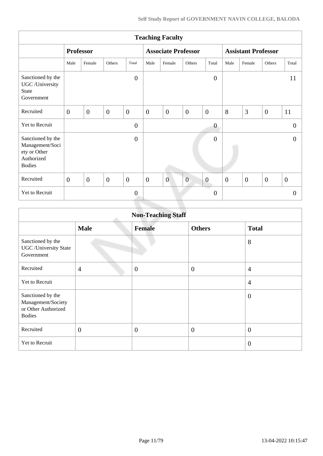|                                                                                     | <b>Teaching Faculty</b> |                |                |                  |                  |                            |                |                  |                            |                |                |                |
|-------------------------------------------------------------------------------------|-------------------------|----------------|----------------|------------------|------------------|----------------------------|----------------|------------------|----------------------------|----------------|----------------|----------------|
|                                                                                     | <b>Professor</b>        |                |                |                  |                  | <b>Associate Professor</b> |                |                  | <b>Assistant Professor</b> |                |                |                |
|                                                                                     | Male                    | Female         | Others         | Total            | Male             | Female                     | Others         | Total            | Male                       | Female         | Others         | Total          |
| Sanctioned by the<br>UGC /University<br><b>State</b><br>Government                  |                         |                |                | $\overline{0}$   |                  |                            |                | $\boldsymbol{0}$ |                            |                |                | 11             |
| Recruited                                                                           | $\boldsymbol{0}$        | $\overline{0}$ | $\overline{0}$ | $\theta$         | $\boldsymbol{0}$ | $\overline{0}$             | $\overline{0}$ | $\overline{0}$   | 8                          | 3              | $\overline{0}$ | 11             |
| Yet to Recruit                                                                      |                         |                |                | $\overline{0}$   |                  |                            |                | $\boldsymbol{0}$ |                            |                |                | $\theta$       |
| Sanctioned by the<br>Management/Soci<br>ety or Other<br>Authorized<br><b>Bodies</b> |                         |                |                | $\boldsymbol{0}$ |                  |                            |                | $\boldsymbol{0}$ |                            |                |                | $\Omega$       |
| Recruited                                                                           | $\boldsymbol{0}$        | $\overline{0}$ | $\overline{0}$ | $\mathbf{0}$     | $\boldsymbol{0}$ | $\overline{0}$             | $\overline{0}$ | $\overline{0}$   | $\overline{0}$             | $\overline{0}$ | $\overline{0}$ | $\overline{0}$ |
| Yet to Recruit                                                                      |                         |                |                | $\overline{0}$   |                  |                            |                | $\theta$         |                            |                |                | $\theta$       |

|                                                                                 |                | <b>Non-Teaching Staff</b> |                  |                  |
|---------------------------------------------------------------------------------|----------------|---------------------------|------------------|------------------|
|                                                                                 | <b>Male</b>    | <b>Female</b>             | <b>Others</b>    | <b>Total</b>     |
| Sanctioned by the<br><b>UGC</b> / University State<br>Government                |                |                           |                  | 8                |
| Recruited                                                                       | $\overline{4}$ | $\overline{0}$            | $\boldsymbol{0}$ | $\overline{4}$   |
| <b>Yet to Recruit</b>                                                           |                |                           |                  | $\overline{4}$   |
| Sanctioned by the<br>Management/Society<br>or Other Authorized<br><b>Bodies</b> |                |                           |                  | $\boldsymbol{0}$ |
| Recruited                                                                       | $\overline{0}$ | $\mathbf{0}$              | $\boldsymbol{0}$ | $\overline{0}$   |
| Yet to Recruit                                                                  |                |                           |                  | $\overline{0}$   |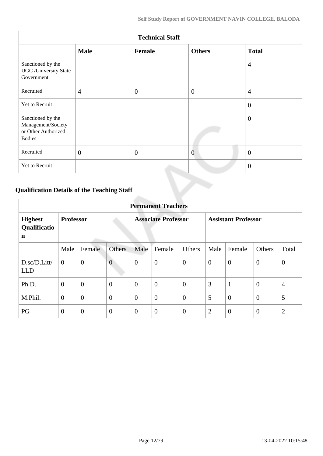|                                                                                 | <b>Technical Staff</b> |              |                |                |  |  |  |  |  |  |  |
|---------------------------------------------------------------------------------|------------------------|--------------|----------------|----------------|--|--|--|--|--|--|--|
|                                                                                 | <b>Male</b>            | Female       | <b>Others</b>  | <b>Total</b>   |  |  |  |  |  |  |  |
| Sanctioned by the<br><b>UGC</b> /University State<br>Government                 |                        |              |                | $\overline{4}$ |  |  |  |  |  |  |  |
| Recruited                                                                       | $\overline{4}$         | $\theta$     | $\overline{0}$ | $\overline{4}$ |  |  |  |  |  |  |  |
| Yet to Recruit                                                                  |                        |              |                | $\overline{0}$ |  |  |  |  |  |  |  |
| Sanctioned by the<br>Management/Society<br>or Other Authorized<br><b>Bodies</b> |                        |              |                | $\overline{0}$ |  |  |  |  |  |  |  |
| Recruited                                                                       | $\mathbf{0}$           | $\mathbf{0}$ | $\overline{0}$ | $\overline{0}$ |  |  |  |  |  |  |  |
| Yet to Recruit                                                                  |                        |              |                | $\overline{0}$ |  |  |  |  |  |  |  |

# **Qualification Details of the Teaching Staff**

|                                     | <b>Permanent Teachers</b> |                  |                |                |                            |                |                |                            |                |                |  |  |
|-------------------------------------|---------------------------|------------------|----------------|----------------|----------------------------|----------------|----------------|----------------------------|----------------|----------------|--|--|
| <b>Highest</b><br>Qualificatio<br>n | <b>Professor</b>          |                  |                |                | <b>Associate Professor</b> |                |                | <b>Assistant Professor</b> |                |                |  |  |
|                                     | Male                      | Female           | <b>Others</b>  | Male           | Female                     | Others         | Male           | Female                     | <b>Others</b>  | Total          |  |  |
| D.sc/D.Litt/<br><b>LLD</b>          | $\overline{0}$            | $\boldsymbol{0}$ | $\overline{0}$ | $\mathbf{0}$   | $\boldsymbol{0}$           | $\overline{0}$ | $\theta$       | $\overline{0}$             | $\overline{0}$ | $\mathbf{0}$   |  |  |
| Ph.D.                               | $\overline{0}$            | $\overline{0}$   | $\overline{0}$ | $\overline{0}$ | $\overline{0}$             | $\overline{0}$ | 3              | $\mathbf{1}$               | $\overline{0}$ | $\overline{4}$ |  |  |
| M.Phil.                             | $\overline{0}$            | $\overline{0}$   | $\overline{0}$ | $\overline{0}$ | $\overline{0}$             | $\overline{0}$ | 5              | $\overline{0}$             | $\overline{0}$ | 5              |  |  |
| PG                                  | $\overline{0}$            | $\overline{0}$   | $\overline{0}$ | $\overline{0}$ | $\overline{0}$             | $\overline{0}$ | $\overline{2}$ | $\overline{0}$             | $\overline{0}$ | $\overline{2}$ |  |  |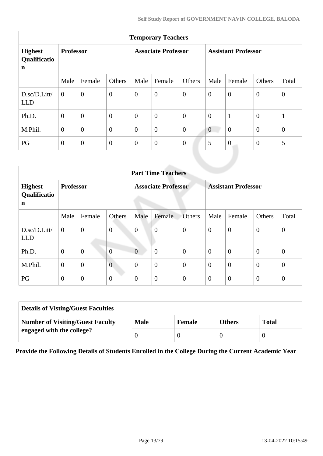| <b>Temporary Teachers</b>                     |                  |                |                |                            |                  |                  |                            |                  |                |                |  |  |
|-----------------------------------------------|------------------|----------------|----------------|----------------------------|------------------|------------------|----------------------------|------------------|----------------|----------------|--|--|
| <b>Highest</b><br>Qualificatio<br>$\mathbf n$ | <b>Professor</b> |                |                | <b>Associate Professor</b> |                  |                  | <b>Assistant Professor</b> |                  |                |                |  |  |
|                                               | Male             | Female         | Others         | Male                       | Female           | Others           | Male                       | Female           | Others         | Total          |  |  |
| D.sc/D.Litt/<br><b>LLD</b>                    | $\theta$         | $\overline{0}$ | $\overline{0}$ | $\overline{0}$             | $\overline{0}$   | $\overline{0}$   | $\boldsymbol{0}$           | $\theta$         | $\mathbf{0}$   | $\overline{0}$ |  |  |
| Ph.D.                                         | $\overline{0}$   | $\overline{0}$ | $\overline{0}$ | $\overline{0}$             | $\overline{0}$   | $\overline{0}$   | $\overline{0}$             | $\mathbf{1}$     | $\overline{0}$ | $\mathbf{1}$   |  |  |
| M.Phil.                                       | $\boldsymbol{0}$ | $\overline{0}$ | $\overline{0}$ | $\mathbf{0}$               | $\overline{0}$   | $\overline{0}$   | $\boldsymbol{0}$           | $\boldsymbol{0}$ | $\mathbf{0}$   | $\overline{0}$ |  |  |
| PG                                            | $\overline{0}$   | $\overline{0}$ | $\overline{0}$ | $\mathbf{0}$               | $\boldsymbol{0}$ | $\boldsymbol{0}$ | 5                          | $\boldsymbol{0}$ | $\overline{0}$ | 5              |  |  |
|                                               |                  |                |                |                            |                  |                  |                            |                  |                |                |  |  |

|                                     | <b>Part Time Teachers</b> |                |                  |                |                            |                  |                |                            |                  |                |  |  |
|-------------------------------------|---------------------------|----------------|------------------|----------------|----------------------------|------------------|----------------|----------------------------|------------------|----------------|--|--|
| <b>Highest</b><br>Qualificatio<br>n | <b>Professor</b>          |                |                  |                | <b>Associate Professor</b> |                  |                | <b>Assistant Professor</b> |                  |                |  |  |
|                                     | Male                      | Female         | Others           | Male           | Female                     | <b>Others</b>    | Male           | Female                     | Others           | Total          |  |  |
| D.sc/D.Litt/<br><b>LLD</b>          | $\theta$                  | $\mathbf{0}$   | $\overline{0}$   | $\overline{0}$ | $\overline{0}$             | $\overline{0}$   | $\overline{0}$ | $\overline{0}$             | $\theta$         | $\mathbf{0}$   |  |  |
| Ph.D.                               | $\mathbf{0}$              | $\mathbf{0}$   | $\overline{0}$   | $\overline{0}$ | $\boldsymbol{0}$           | $\overline{0}$   | $\theta$       | $\overline{0}$             | $\overline{0}$   | $\overline{0}$ |  |  |
| M.Phil.                             | $\mathbf{0}$              | $\overline{0}$ | $\overline{0}$   | $\overline{0}$ | $\overline{0}$             | $\boldsymbol{0}$ | $\overline{0}$ | $\boldsymbol{0}$           | $\theta$         | $\theta$       |  |  |
| PG                                  | $\mathbf{0}$              | $\overline{0}$ | $\boldsymbol{0}$ | $\overline{0}$ | $\boldsymbol{0}$           | $\theta$         | $\overline{0}$ | $\overline{0}$             | $\boldsymbol{0}$ | $\theta$       |  |  |

| <b>Details of Visting/Guest Faculties</b> |             |               |               |              |  |  |  |
|-------------------------------------------|-------------|---------------|---------------|--------------|--|--|--|
| <b>Number of Visiting/Guest Faculty</b>   | <b>Male</b> | <b>Female</b> | <b>Others</b> | <b>Total</b> |  |  |  |
| engaged with the college?                 |             |               |               |              |  |  |  |

**Provide the Following Details of Students Enrolled in the College During the Current Academic Year**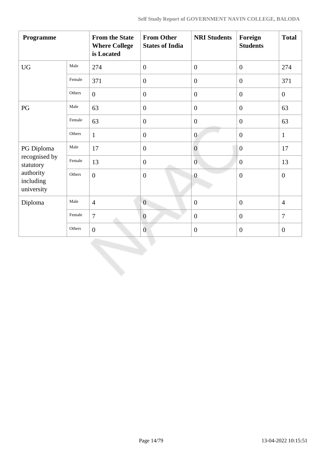| Programme                            |        | <b>From the State</b><br><b>Where College</b><br>is Located | <b>From Other</b><br><b>States of India</b> | <b>NRI Students</b> | Foreign<br><b>Students</b> | <b>Total</b>     |
|--------------------------------------|--------|-------------------------------------------------------------|---------------------------------------------|---------------------|----------------------------|------------------|
| <b>UG</b>                            | Male   | 274                                                         | $\overline{0}$                              | $\boldsymbol{0}$    | $\overline{0}$             | 274              |
|                                      | Female | 371                                                         | $\boldsymbol{0}$                            | $\boldsymbol{0}$    | $\overline{0}$             | 371              |
|                                      | Others | $\overline{0}$                                              | $\overline{0}$                              | $\boldsymbol{0}$    | $\overline{0}$             | $\mathbf{0}$     |
| PG                                   | Male   | 63                                                          | $\boldsymbol{0}$                            | $\boldsymbol{0}$    | $\overline{0}$             | 63               |
|                                      | Female | 63                                                          | $\mathbf{0}$                                | $\mathbf{0}$        | $\overline{0}$             | 63               |
|                                      | Others | $\mathbf{1}$                                                | $\overline{0}$                              | $\overline{0}$      | $\overline{0}$             | $\mathbf{1}$     |
| PG Diploma                           | Male   | 17                                                          | $\boldsymbol{0}$                            | $\boldsymbol{0}$    | $\boldsymbol{0}$           | 17               |
| recognised by<br>statutory           | Female | 13                                                          | $\overline{0}$                              | $\overline{0}$      | $\overline{0}$             | 13               |
| authority<br>including<br>university | Others | $\mathbf{0}$                                                | $\theta$                                    | $\overline{0}$      | $\overline{0}$             | $\boldsymbol{0}$ |
| Diploma                              | Male   | $\overline{4}$                                              | $\overline{0}$                              | $\mathbf{0}$        | $\overline{0}$             | $\overline{4}$   |
|                                      | Female | $\overline{7}$                                              | $\boldsymbol{0}$                            | $\boldsymbol{0}$    | $\overline{0}$             | $\tau$           |
|                                      | Others | $\mathbf{0}$                                                | $\overline{0}$                              | $\mathbf{0}$        | $\overline{0}$             | $\mathbf{0}$     |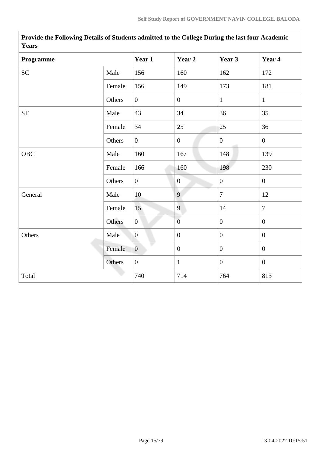| r ears    |        |                  |                  |                  |                  |
|-----------|--------|------------------|------------------|------------------|------------------|
| Programme |        | Year 1           | Year 2           | Year 3           | Year 4           |
| SC        | Male   | 156              | 160              | 162              | 172              |
|           | Female | 156              | 149              | 173              | 181              |
|           | Others | $\boldsymbol{0}$ | $\boldsymbol{0}$ | $\mathbf{1}$     | $\mathbf{1}$     |
| <b>ST</b> | Male   | 43               | 34               | 36               | 35               |
|           | Female | 34               | 25               | 25               | 36               |
|           | Others | $\overline{0}$   | $\boldsymbol{0}$ | $\mathbf{0}$     | $\overline{0}$   |
| OBC       | Male   | 160              | 167              | 148              | 139              |
|           | Female | 166              | 160              | 198              | 230              |
|           | Others | $\overline{0}$   | $\boldsymbol{0}$ | $\boldsymbol{0}$ | $\overline{0}$   |
| General   | Male   | 10               | 9                | $\overline{7}$   | 12               |
|           | Female | 15               | 9                | 14               | $\overline{7}$   |
|           | Others | $\overline{0}$   | $\overline{0}$   | $\mathbf{0}$     | $\overline{0}$   |
| Others    | Male   | $\boldsymbol{0}$ | $\boldsymbol{0}$ | $\overline{0}$   | $\boldsymbol{0}$ |
|           | Female | $\overline{0}$   | $\overline{0}$   | $\overline{0}$   | $\mathbf{0}$     |
|           | Others | $\boldsymbol{0}$ | $\mathbf{1}$     | $\overline{0}$   | $\overline{0}$   |
| Total     |        | 740              | 714              | 764              | 813              |

**Provide the Following Details of Students admitted to the College During the last four Academic Years**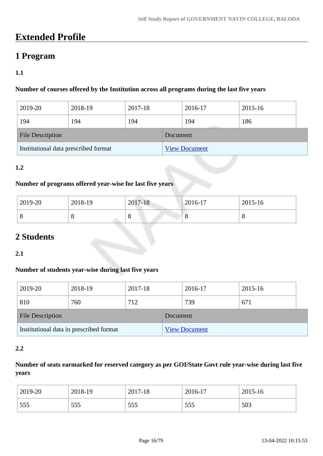# **Extended Profile**

# **1 Program**

# **1.1**

## **Number of courses offered by the Institution across all programs during the last five years**

| 2019-20                              | 2018-19 | 2017-18 |  | 2016-17              | 2015-16 |  |
|--------------------------------------|---------|---------|--|----------------------|---------|--|
| 194                                  | 194     | 194     |  | 194                  | 186     |  |
| <b>File Description</b>              |         |         |  | Document             |         |  |
| Institutional data prescribed format |         |         |  | <b>View Document</b> |         |  |

# **1.2**

#### **Number of programs offered year-wise for last five years**

| 2019-20 | 2018-19 | 2017-18 | $ 2016-17$ | 2015-16 |
|---------|---------|---------|------------|---------|
| $\circ$ | ັ       | $\circ$ | ◡          | v       |

# **2 Students**

**2.1**

## **Number of students year-wise during last five years**

| 2019-20                                 | 2018-19 | 2017-18 |                      | 2016-17 | 2015-16 |  |
|-----------------------------------------|---------|---------|----------------------|---------|---------|--|
| 810                                     | 760     | 712     |                      | 739     | 671     |  |
| <b>File Description</b>                 |         |         | Document             |         |         |  |
| Institutional data in prescribed format |         |         | <b>View Document</b> |         |         |  |

#### **2.2**

# **Number of seats earmarked for reserved category as per GOI/State Govt rule year-wise during last five years**

| 2019-20 | 2018-19    | 2017-18 | 2016-17 | 2015-16 |
|---------|------------|---------|---------|---------|
| 555     | 555<br>JJJ | 555     | 555     | 503     |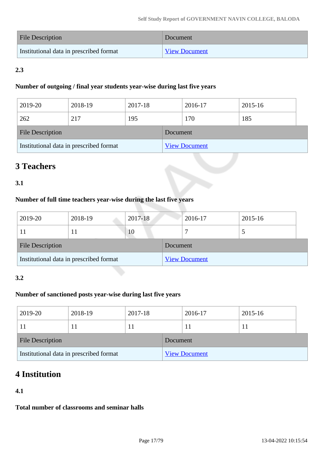| <b>File Description</b>                 | Document             |
|-----------------------------------------|----------------------|
| Institutional data in prescribed format | <b>View Document</b> |

# **2.3**

### **Number of outgoing / final year students year-wise during last five years**

| 2019-20                                 | 2018-19 | 2017-18 |                      | 2016-17 | 2015-16 |  |
|-----------------------------------------|---------|---------|----------------------|---------|---------|--|
| 262                                     | 217     | 195     |                      | 170     | 185     |  |
| <b>File Description</b>                 |         |         | Document             |         |         |  |
| Institutional data in prescribed format |         |         | <b>View Document</b> |         |         |  |

# **3 Teachers**

# **3.1**

# **Number of full time teachers year-wise during the last five years**

| 2019-20                                 | 2018-19 | 2017-18 |                      | 2016-17 | 2015-16 |  |
|-----------------------------------------|---------|---------|----------------------|---------|---------|--|
|                                         |         | 10      |                      |         | ر       |  |
| <b>File Description</b>                 |         |         | Document             |         |         |  |
| Institutional data in prescribed format |         |         | <b>View Document</b> |         |         |  |

#### **3.2**

# **Number of sanctioned posts year-wise during last five years**

| 2019-20                                 | 2018-19 | 2017-18  |                      | 2016-17 | 2015-16 |
|-----------------------------------------|---------|----------|----------------------|---------|---------|
|                                         | 1 I     |          |                      |         |         |
| <b>File Description</b>                 |         | Document |                      |         |         |
| Institutional data in prescribed format |         |          | <b>View Document</b> |         |         |

# **4 Institution**

# **4.1**

**Total number of classrooms and seminar halls**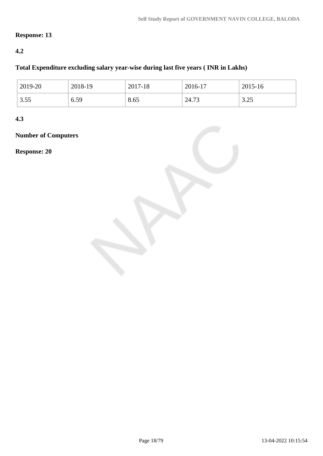# **Response: 13**

## **4.2**

# **Total Expenditure excluding salary year-wise during last five years ( INR in Lakhs)**

| 2019-20 | 2018-19 | 2017-18 | 2016-17 | 2015-16                 |
|---------|---------|---------|---------|-------------------------|
| 3.55    | 6.59    | 8.65    | 24.73   | $\cap \subset$<br>ن∠د ب |

**4.3**

# **Number of Computers**

**Response: 20**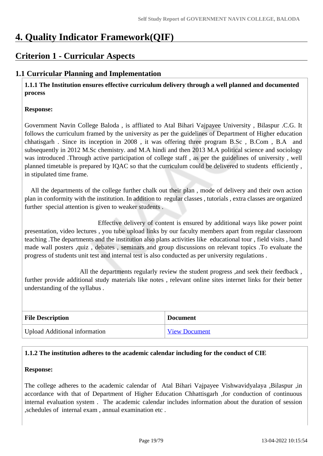# **4. Quality Indicator Framework(QIF)**

# **Criterion 1 - Curricular Aspects**

# **1.1 Curricular Planning and Implementation**

 **1.1.1 The Institution ensures effective curriculum delivery through a well planned and documented process**

#### **Response:**

Government Navin College Baloda , is affliated to Atal Bihari Vajpayee University , Bilaspur .C.G. It follows the curriculum framed by the university as per the guidelines of Department of Higher education chhatisgarh . Since its inception in 2008 , it was offering three program B.Sc , B.Com , B.A and subsequently in 2012 M.Sc chemistry. and M.A hindi and then 2013 M.A political science and sociology was introduced .Through active participation of college staff , as per the guidelines of university , well planned timetable is prepared by IQAC so that the curriculum could be delivered to students efficiently , in stipulated time frame.

 All the departments of the college further chalk out their plan , mode of delivery and their own action plan in conformity with the institution. In addition to regular classes , tutorials , extra classes are organized further special attention is given to weaker students .

 Effective delivery of content is ensured by additional ways like power point presentation, video lectures , you tube upload links by our faculty members apart from regular classroom teaching .The departments and the institution also plans activities like educational tour , field visits , hand made wall posters ,quiz , debates , seminars and group discussions on relevant topics .To evaluate the progress of students unit test and internal test is also conducted as per university regulations .

 All the departments regularly review the student progress ,and seek their feedback , further provide additional study materials like notes , relevant online sites internet links for their better understanding of the syllabus *.*

| <b>File Description</b>              | <b>Document</b>      |
|--------------------------------------|----------------------|
| <b>Upload Additional information</b> | <b>View Document</b> |

# **1.1.2 The institution adheres to the academic calendar including for the conduct of CIE**

# **Response:**

The college adheres to the academic calendar of Atal Bihari Vajpayee Vishwavidyalaya ,Bilaspur ,in accordance with that of Department of Higher Education Chhattisgarh ,for conduction of continuous internal evaluation system . The academic calendar includes information about the duration of session ,schedules of internal exam , annual examination etc .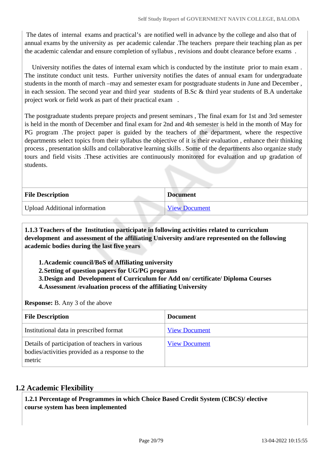The dates of internal exams and practical's are notified well in advance by the college and also that of annual exams by the university as per academic calendar .The teachers prepare their teaching plan as per the academic calendar and ensure completion of syllabus , revisions and doubt clearance before exams .

 University notifies the dates of internal exam which is conducted by the institute prior to main exam . The institute conduct unit tests. Further university notifies the dates of annual exam for undergraduate students in the month of march –may and semester exam for postgraduate students in June and December , in each session. The second year and third year students of B.Sc & third year students of B.A undertake project work or field work as part of their practical exam .

The postgraduate students prepare projects and present seminars , The final exam for 1st and 3rd semester is held in the month of December and final exam for 2nd and 4th semester is held in the month of May for PG program .The project paper is guided by the teachers of the department, where the respective departments select topics from their syllabus the objective of it is their evaluation , enhance their thinking process , presentation skills and collaborative learning skills . Some of the departments also organize study tours and field visits .These activities are continuously monitored for evaluation and up gradation of students.

| <b>File Description</b>              | <b>Document</b>      |
|--------------------------------------|----------------------|
| <b>Upload Additional information</b> | <b>View Document</b> |

 **1.1.3 Teachers of the Institution participate in following activities related to curriculum development and assessment of the affiliating University and/are represented on the following academic bodies during the last five years** 

- **1.Academic council/BoS of Affiliating university**
- **2.Setting of question papers for UG/PG programs**
- **3.Design and Development of Curriculum for Add on/ certificate/ Diploma Courses**
- **4.Assessment /evaluation process of the affiliating University**

**Response:** B. Any 3 of the above

| <b>File Description</b>                                                                                      | <b>Document</b>      |
|--------------------------------------------------------------------------------------------------------------|----------------------|
| Institutional data in prescribed format                                                                      | <b>View Document</b> |
| Details of participation of teachers in various<br>bodies/activities provided as a response to the<br>metric | <b>View Document</b> |

# **1.2 Academic Flexibility**

 **1.2.1 Percentage of Programmes in which Choice Based Credit System (CBCS)/ elective course system has been implemented**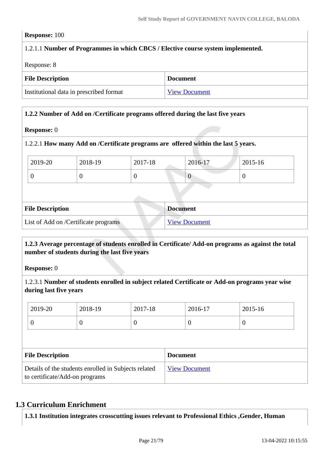| <b>Response: 100</b> |  |
|----------------------|--|
|----------------------|--|

#### 1.2.1.1 **Number of Programmes in which CBCS / Elective course system implemented.**

Response: 8

| <b>File Description</b>                 | Document             |
|-----------------------------------------|----------------------|
| Institutional data in prescribed format | <b>View Document</b> |

| <b>Response:</b> 0      |                                      |                |                                                                                    |          |
|-------------------------|--------------------------------------|----------------|------------------------------------------------------------------------------------|----------|
|                         |                                      |                | 1.2.2.1 How many Add on /Certificate programs are offered within the last 5 years. |          |
| 2019-20                 | 2018-19                              | 2017-18        | 2016-17                                                                            | 2015-16  |
| $\theta$                | $\overline{0}$                       | $\overline{0}$ | $\theta$                                                                           | $\theta$ |
|                         |                                      |                |                                                                                    |          |
| <b>File Description</b> |                                      |                | <b>Document</b>                                                                    |          |
|                         | List of Add on /Certificate programs |                | <b>View Document</b>                                                               |          |

### **1.2.3 Average percentage of students enrolled in Certificate/ Add-on programs as against the total number of students during the last five years**

**Response:** 0

1.2.3.1 **Number of students enrolled in subject related Certificate or Add-on programs year wise during last five years**

| 2019-20                                                                                | 2018-19  | 2017-18  |                      | 2016-17  | 2015-16 |
|----------------------------------------------------------------------------------------|----------|----------|----------------------|----------|---------|
| O                                                                                      | $\theta$ | $\theta$ |                      | $\theta$ | 0       |
|                                                                                        |          |          |                      |          |         |
| <b>File Description</b>                                                                |          |          | <b>Document</b>      |          |         |
| Details of the students enrolled in Subjects related<br>to certificate/Add-on programs |          |          | <b>View Document</b> |          |         |

# **1.3 Curriculum Enrichment**

**1.3.1 Institution integrates crosscutting issues relevant to Professional Ethics ,Gender, Human**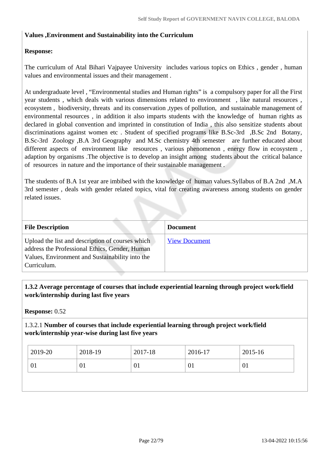#### **Values ,Environment and Sustainability into the Curriculum**

### **Response:**

The curriculum of Atal Bihari Vajpayee University includes various topics on Ethics , gender , human values and environmental issues and their management .

At undergraduate level , "Environmental studies and Human rights" is a compulsory paper for all the First year students , which deals with various dimensions related to environment , like natural resources , ecosystem , biodiversity, threats and its conservation ,types of pollution, and sustainable management of environmental resources , in addition it also imparts students with the knowledge of human rights as declared in global convention and imprinted in constitution of India , this also sensitize students about discriminations against women etc . Student of specified programs like B.Sc-3rd ,B.Sc 2nd Botany, B.Sc-3rd Zoology ,B.A 3rd Geography and M.Sc chemistry 4th semester are further educated about different aspects of environment like resources , various phenomenon , energy flow in ecosystem , adaption by organisms .The objective is to develop an insight among students about the critical balance of resources in nature and the importance of their sustainable management .

The students of B.A 1st year are imbibed with the knowledge of human values.Syllabus of B.A 2nd ,M.A 3rd semester , deals with gender related topics, vital for creating awareness among students on gender related issues.

| <b>File Description</b>                                                                                                                                              | <b>Document</b>      |
|----------------------------------------------------------------------------------------------------------------------------------------------------------------------|----------------------|
| Upload the list and description of courses which<br>address the Professional Ethics, Gender, Human<br>Values, Environment and Sustainability into the<br>Curriculum. | <b>View Document</b> |

# **1.3.2 Average percentage of courses that include experiential learning through project work/field work/internship during last five years**

**Response:** 0.52

# 1.3.2.1 **Number of courses that include experiential learning through project work/field work/internship year-wise during last five years**

| $2019-20$ | 2018-19 | 2017-18 | 2016-17 | $2015 - 16$ |
|-----------|---------|---------|---------|-------------|
| 01        | 01      | 01      | 01      | 01          |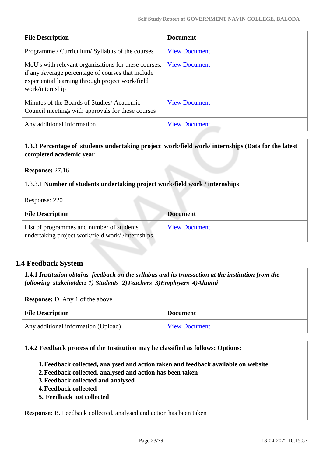| <b>File Description</b>                                                                                                                                                          | <b>Document</b>      |
|----------------------------------------------------------------------------------------------------------------------------------------------------------------------------------|----------------------|
| Programme / Curriculum/ Syllabus of the courses                                                                                                                                  | <b>View Document</b> |
| MoU's with relevant organizations for these courses,<br>if any Average percentage of courses that include<br>experiential learning through project work/field<br>work/internship | <b>View Document</b> |
| Minutes of the Boards of Studies/Academic<br>Council meetings with approvals for these courses                                                                                   | <b>View Document</b> |
| Any additional information                                                                                                                                                       | <b>View Document</b> |

### **1.3.3 Percentage of students undertaking project work/field work/ internships (Data for the latest completed academic year**

**Response:** 27.16

1.3.3.1 **Number of students undertaking project work/field work / internships**

Response: 220

| <b>File Description</b>                                                                       | <b>Document</b>      |
|-----------------------------------------------------------------------------------------------|----------------------|
| List of programmes and number of students<br>undertaking project work/field work//internships | <b>View Document</b> |

# **1.4 Feedback System**

 **1.4.1** *Institution obtains feedback on the syllabus and its transaction at the institution from the following stakeholders 1) Students 2)Teachers 3)Employers 4)Alumni* 

**Response:** D. Any 1 of the above

| <b>File Description</b>             | <b>Document</b>      |
|-------------------------------------|----------------------|
| Any additional information (Upload) | <b>View Document</b> |

#### **1.4.2 Feedback process of the Institution may be classified as follows: Options:**

**1.Feedback collected, analysed and action taken and feedback available on website**

- **2.Feedback collected, analysed and action has been taken**
- **3.Feedback collected and analysed**
- **4.Feedback collected**
- **5. Feedback not collected**

**Response:** B. Feedback collected, analysed and action has been taken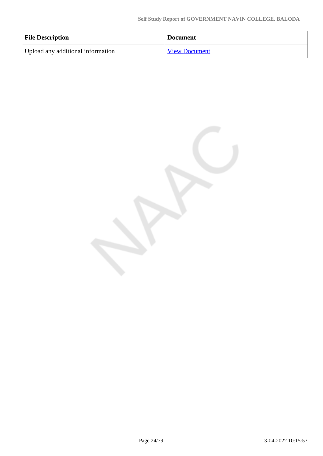| <b>File Description</b>           | <b>Document</b>      |
|-----------------------------------|----------------------|
| Upload any additional information | <b>View Document</b> |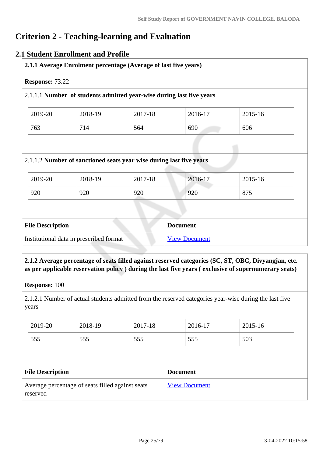# **Criterion 2 - Teaching-learning and Evaluation**

# **2.1 Student Enrollment and Profile**

|         | 2.1.1.1 Number of students admitted year-wise during last five years |         |         |
|---------|----------------------------------------------------------------------|---------|---------|
| 2018-19 | 2017-18                                                              | 2016-17 | 2015-16 |
| 714     | 564                                                                  | 690     | 606     |
|         | 2.1.1.2 Number of sanctioned seats year wise during last five years  |         |         |
| 2018-19 | 2017-18                                                              | 2016-17 | 2015-16 |
| 920     | 920                                                                  | 920     | 875     |
|         |                                                                      |         |         |
|         |                                                                      |         |         |

# **2.1.2 Average percentage of seats filled against reserved categories (SC, ST, OBC, Divyangjan, etc. as per applicable reservation policy ) during the last five years ( exclusive of supernumerary seats)**

**Response:** 100

2.1.2.1 Number of actual students admitted from the reserved categories year-wise during the last five years

| 2019-20 | 2018-19 | 2017-18    | 2016-17 | 2015-16 |
|---------|---------|------------|---------|---------|
| 555     | 555     | 555<br>JJJ | 555     | 503     |

| <b>File Description</b>                                      | <b>Document</b>      |
|--------------------------------------------------------------|----------------------|
| Average percentage of seats filled against seats<br>reserved | <b>View Document</b> |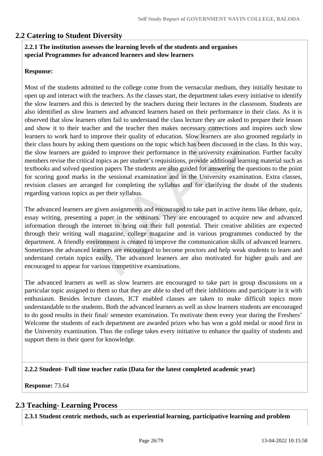# **2.2 Catering to Student Diversity**

#### **2.2.1 The institution assesses the learning levels of the students and organises special Programmes for advanced learners and slow learners**

#### **Response:**

Most of the students admitted to the college come from the vernacular medium, they initially hesitate to open up and interact with the teachers. As the classes start, the department takes every initiative to identify the slow learners and this is detected by the teachers during their lectures in the classroom. Students are also identified as slow learners and advanced learners based on their performance in their class. As it is observed that slow learners often fail to understand the class lecture they are asked to prepare their lesson and show it to their teacher and the teacher then makes necessary corrections and inspires such slow learners to work hard to improve their quality of education. Slow learners are also groomed regularly in their class hours by asking them questions on the topic which has been discussed in the class. In this way, the slow learners are guided to improve their performance in the university examination. Further faculty members revise the critical topics as per student's requisitions, provide additional learning material such as textbooks and solved question papers The students are also guided for answering the questions to the point for scoring good marks in the sessional examination and in the University examination. Extra classes, revision classes are arranged for completing the syllabus and for clarifying the doubt of the students regarding various topics as per their syllabus.

The advanced learners are given assignments and encouraged to take part in active items like debate, quiz, essay writing, presenting a paper in the seminars. They are encouraged to acquire new and advanced information through the internet to bring out their full potential. Their creative abilities are expected through their writing wall magazine, college magazine and in various programmes conducted by the department. A friendly environment is created to improve the communication skills of advanced learners. Sometimes the advanced learners are encouraged to become proctors and help weak students to learn and understand certain topics easily. The advanced learners are also motivated for higher goals and are encouraged to appear for various competitive examinations.

The advanced learners as well as slow learners are encouraged to take part in group discussions on a particular topic assigned to them so that they are able to shed off their inhibitions and participate in it with enthusiasm. Besides lecture classes, ICT enabled classes are taken to make difficult topics more understandable to the students. Both the advanced learners as well as slow learners students are encouraged to do good results in their final/ semester examination. To motivate them every year during the Freshers' Welcome the students of each department are awarded prizes who has won a gold medal or stood first in the University examination. Thus the college takes every initiative to enhance the quality of students and support them in their quest for knowledge.

#### **2.2.2 Student- Full time teacher ratio (Data for the latest completed academic year)**

**Response:** 73.64

#### **2.3 Teaching- Learning Process**

**2.3.1 Student centric methods, such as experiential learning, participative learning and problem**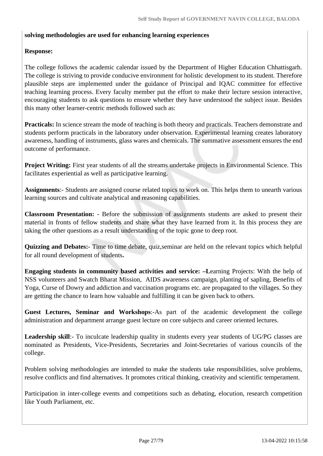#### **solving methodologies are used for enhancing learning experiences**

#### **Response:**

The college follows the academic calendar issued by the Department of Higher Education Chhattisgarh. The college is striving to provide conducive environment for holistic development to its student. Therefore plausible steps are implemented under the guidance of Principal and IQAC committee for effective teaching learning process. Every faculty member put the effort to make their lecture session interactive, encouraging students to ask questions to ensure whether they have understood the subject issue. Besides this many other learner-centric methods followed such as:

**Practicals:** In science stream the mode of teaching is both theory and practicals. Teachers demonstrate and students perform practicals in the laboratory under observation. Experimental learning creates laboratory awareness, handling of instruments, glass wares and chemicals. The summative assessment ensures the end outcome of performance.

**Project Writing:** First year students of all the streams undertake projects in Environmental Science. This facilitates experiential as well as participative learning.

**Assignments**:- Students are assigned course related topics to work on. This helps them to unearth various learning sources and cultivate analytical and reasoning capabilities.

**Classroom Presentation:** - Before the submission of assignments students are asked to present their material in fronts of fellow students and share what they have learned from it. In this process they are taking the other questions as a result understanding of the topic gone to deep root.

**Quizzing and Debates:-** Time to time debate, quiz,seminar are held on the relevant topics which helpful for all round development of students**.**

**Engaging students in community based activities and service: –L**earning Projects: With the help of NSS volunteers and Swatch Bharat Mission, AIDS awareness campaign, planting of sapling, Benefits of Yoga, Curse of Dowry and addiction and vaccination programs etc. are propagated to the villages. So they are getting the chance to learn how valuable and fulfilling it can be given back to others.

**Guest Lectures, Seminar and Workshops**:-As part of the academic development the college administration and department arrange guest lecture on core subjects and career oriented lectures.

**Leadership skill**:- To inculcate leadership quality in students every year students of UG/PG classes are nominated as Presidents, Vice-Presidents, Secretaries and Joint-Secretaries of various councils of the college.

Problem solving methodologies are intended to make the students take responsibilities, solve problems, resolve conflicts and find alternatives. It promotes critical thinking, creativity and scientific temperament.

Participation in inter-college events and competitions such as debating, elocution, research competition like Youth Parliament, etc.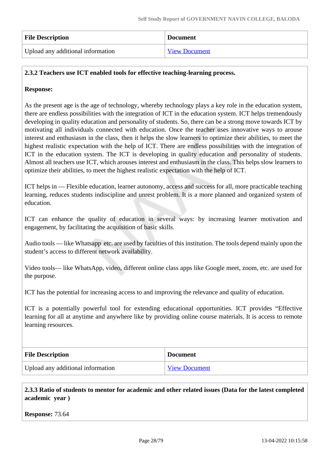| <b>File Description</b>           | <b>Document</b>      |
|-----------------------------------|----------------------|
| Upload any additional information | <b>View Document</b> |

### **2.3.2 Teachers use ICT enabled tools for effective teaching-learning process.**

#### **Response:**

As the present age is the age of technology, whereby technology plays a key role in the education system, there are endless possibilities with the integration of ICT in the education system. ICT helps tremendously developing in quality education and personality of students. So, there can be a strong move towards ICT by motivating all individuals connected with education. Once the teacher uses innovative ways to arouse interest and enthusiasm in the class, then it helps the slow learners to optimize their abilities, to meet the highest realistic expectation with the help of ICT. There are endless possibilities with the integration of ICT in the education system. The ICT is developing in quality education and personality of students. Almost all teachers use ICT, which arouses interest and enthusiasm in the class. This helps slow learners to optimize their abilities, to meet the highest realistic expectation with the help of ICT.

ICT helps in — Flexible education, learner autonomy, access and success for all, more practicable teaching learning, reduces students indiscipline and unrest problem. It is a more planned and organized system of education.

ICT can enhance the quality of education in several ways: by increasing learner motivation and engagement, by facilitating the acquisition of basic skills.

Audio tools — like Whatsapp etc. are used by faculties of this institution. The tools depend mainly upon the student's access to different network availability.

Video tools— like WhatsApp, video, different online class apps like Google meet, zoom, etc. are used for the purpose.

ICT has the potential for increasing access to and improving the relevance and quality of education.

ICT is a potentially powerful tool for extending educational opportunities. ICT provides "Effective learning for all at anytime and anywhere like by providing online course materials. It is access to remote learning resources.

| <b>File Description</b>           | <b>Document</b>      |
|-----------------------------------|----------------------|
| Upload any additional information | <b>View Document</b> |

 **2.3.3 Ratio of students to mentor for academic and other related issues (Data for the latest completed academic year )**

**Response:** 73.64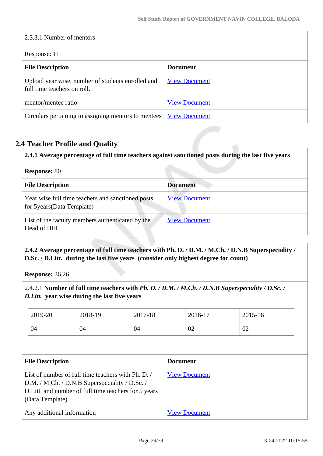| 2.3.3.1 Number of mentors                                                        |                      |
|----------------------------------------------------------------------------------|----------------------|
| Response: 11                                                                     |                      |
| <b>File Description</b>                                                          | <b>Document</b>      |
| Upload year wise, number of students enrolled and<br>full time teachers on roll. | <b>View Document</b> |
| mentor/mentee ratio                                                              | <b>View Document</b> |
| Circulars pertaining to assigning mentors to mentees                             | <b>View Document</b> |

# **2.4 Teacher Profile and Quality**

| <b>Response: 80</b>                                                              |                      |
|----------------------------------------------------------------------------------|----------------------|
| <b>File Description</b>                                                          | <b>Document</b>      |
| Year wise full time teachers and sanctioned posts<br>for 5 years (Data Template) | <b>View Document</b> |
| List of the faculty members authenticated by the<br>Head of HEI                  | <b>View Document</b> |

# **2.4.2 Average percentage of full time teachers with Ph. D. / D.M. / M.Ch. / D.N.B Superspeciality / D.Sc. / D.Litt. during the last five years (consider only highest degree for count)**

**Response:** 36.26

2.4.2.1 **Number of full time teachers with** *Ph. D. / D.M. / M.Ch. / D.N.B Superspeciality / D.Sc. / D.Litt.* **year wise during the last five years**

|                                                                                                                                                                                  | 2019-20 | 2018-19              | 2017-18              |  | 2016-17 | 2015-16 |
|----------------------------------------------------------------------------------------------------------------------------------------------------------------------------------|---------|----------------------|----------------------|--|---------|---------|
|                                                                                                                                                                                  | 04      | 04                   | 04                   |  | 02      | 02      |
|                                                                                                                                                                                  |         |                      |                      |  |         |         |
| <b>File Description</b>                                                                                                                                                          |         |                      | <b>Document</b>      |  |         |         |
| List of number of full time teachers with Ph. D. /<br>D.M. / M.Ch. / D.N.B Superspeciality / D.Sc. /<br>D. Litt. and number of full time teachers for 5 years<br>(Data Template) |         | <b>View Document</b> |                      |  |         |         |
| Any additional information                                                                                                                                                       |         |                      | <b>View Document</b> |  |         |         |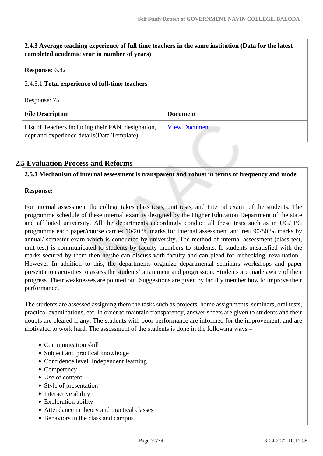| 2.4.3 Average teaching experience of full time teachers in the same institution (Data for the latest<br>completed academic year in number of years) |                      |  |
|-----------------------------------------------------------------------------------------------------------------------------------------------------|----------------------|--|
| <b>Response:</b> 6.82                                                                                                                               |                      |  |
| 2.4.3.1 Total experience of full-time teachers                                                                                                      |                      |  |
| Response: 75                                                                                                                                        |                      |  |
| <b>File Description</b>                                                                                                                             | <b>Document</b>      |  |
| List of Teachers including their PAN, designation,<br>dept and experience details (Data Template)                                                   | <b>View Document</b> |  |

# **2.5 Evaluation Process and Reforms**

**2.5.1 Mechanism of internal assessment is transparent and robust in terms of frequency and mode**

#### **Response:**

For internal assessment the college takes class tests, unit tests, and Internal exam of the students. The programme schedule of these internal exam is designed by the Higher Education Department of the state and affiliated university. All the departments accordingly conduct all these tests such as in UG/ PG programme each paper/course carries 10/20 % marks for internal assessment and rest 90/80 % marks by annual/ semester exam which is conducted by university. The method of internal assessment (class test, unit test) is communicated to students by faculty members to students. If students unsatisfied with the marks secured by them then he/she can discuss with faculty and can plead for rechecking, revaluation . However In addition to this, the departments organize departmental seminars workshops and paper presentation activities to assess the students' attainment and progression. Students are made aware of their progress. Their weaknesses are pointed out. Suggestions are given by faculty member how to improve their performance.

The students are assessed assigning them the tasks such as projects, home assignments, seminars, oral tests, practical examinations, etc. In order to maintain transparency, answer sheets are given to students and their doubts are cleared if any. The students with poor performance are informed for the improvement, and are motivated to work hard. The assessment of the students is done in the following ways –

- Communication skill
- Subject and practical knowledge
- Confidence level· Independent learning
- Competency
- Use of content
- Style of presentation
- Interactive ability
- Exploration ability
- Attendance in theory and practical classes
- Behaviors in the class and campus.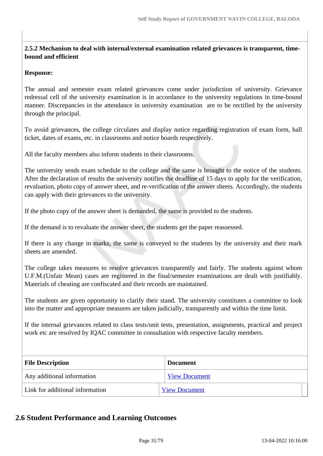### **2.5.2 Mechanism to deal with internal/external examination related grievances is transparent, timebound and efficient**

#### **Response:**

The annual and semester exam related grievances come under jurisdiction of university. Grievance redressal cell of the university examination is in accordance to the university regulations in time-bound manner. Discrepancies in the attendance in university examination are to be rectified by the university through the principal.

To avoid grievances, the college circulates and display notice regarding registration of exam form, hall ticket, dates of exams, etc. in classrooms and notice boards respectively.

All the faculty members also inform students in their classrooms.

The university sends exam schedule to the college and the same is brought to the notice of the students. After the declaration of results the university notifies the deadline of 15 days to apply for the verification, revaluation, photo copy of answer sheet, and re-verification of the answer sheets. Accordingly, the students can apply with their grievances to the university.

If the photo copy of the answer sheet is demanded, the same is provided to the students.

If the demand is to revaluate the answer sheet, the students get the paper reassessed.

If there is any change in marks, the same is conveyed to the students by the university and their mark sheets are amended.

The college takes measures to resolve grievances transparently and fairly. The students against whom U.F.M.(Unfair Mean) cases are registered in the final/semester examinations are dealt with justifiably. Materials of cheating are confiscated and their records are maintained.

The students are given opportunity to clarify their stand. The university constitutes a committee to look into the matter and appropriate measures are taken judicially, transparently and within the time limit.

If the internal grievances related to class tests/unit tests, presentation, assignments, practical and project work etc are resolved by IQAC committee in consultation with respective faculty members.

| <b>File Description</b>         | <b>Document</b>      |  |
|---------------------------------|----------------------|--|
| Any additional information      | <b>View Document</b> |  |
| Link for additional information | <b>View Document</b> |  |

# **2.6 Student Performance and Learning Outcomes**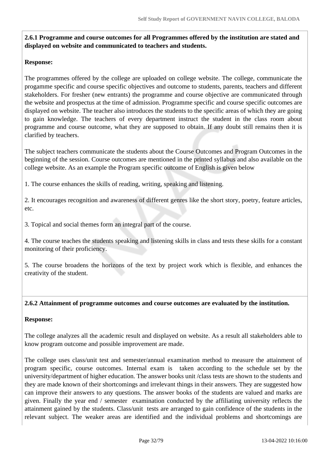**2.6.1 Programme and course outcomes for all Programmes offered by the institution are stated and displayed on website and communicated to teachers and students.**

#### **Response:**

The programmes offered by the college are uploaded on college website. The college, communicate the progamme specific and course specific objectives and outcome to students, parents, teachers and different stakeholders. For fresher (new entrants) the programme and course objective are communicated through the website and prospectus at the time of admission. Programme specific and course specific outcomes are displayed on website. The teacher also introduces the students to the specific areas of which they are going to gain knowledge. The teachers of every department instruct the student in the class room about programme and course outcome, what they are supposed to obtain. If any doubt still remains then it is clarified by teachers.

The subject teachers communicate the students about the Course Outcomes and Program Outcomes in the beginning of the session. Course outcomes are mentioned in the printed syllabus and also available on the college website. As an example the Program specific outcome of English is given below

1. The course enhances the skills of reading, writing, speaking and listening.

2. It encourages recognition and awareness of different genres like the short story, poetry, feature articles, etc.

3. Topical and social themes form an integral part of the course.

4. The course teaches the students speaking and listening skills in class and tests these skills for a constant monitoring of their proficiency.

5. The course broadens the horizons of the text by project work which is flexible, and enhances the creativity of the student.

#### **2.6.2 Attainment of programme outcomes and course outcomes are evaluated by the institution.**

#### **Response:**

The college analyzes all the academic result and displayed on website. As a result all stakeholders able to know program outcome and possible improvement are made.

The college uses class/unit test and semester/annual examination method to measure the attainment of program specific, course outcomes. Internal exam is taken according to the schedule set by the university/department of higher education. The answer books unit /class tests are shown to the students and they are made known of their shortcomings and irrelevant things in their answers. They are suggested how can improve their answers to any questions. The answer books of the students are valued and marks are given. Finally the year end / semester examination conducted by the affiliating university reflects the attainment gained by the students. Class/unit tests are arranged to gain confidence of the students in the relevant subject. The weaker areas are identified and the individual problems and shortcomings are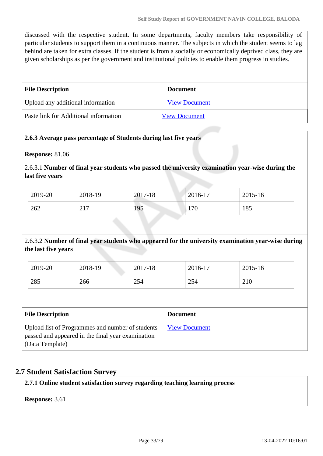discussed with the respective student. In some departments, faculty members take responsibility of particular students to support them in a continuous manner. The subjects in which the student seems to lag behind are taken for extra classes. If the student is from a socially or economically deprived class, they are given scholarships as per the government and institutional policies to enable them progress in studies.

| <b>File Description</b>               | <b>Document</b>      |
|---------------------------------------|----------------------|
| Upload any additional information     | <b>View Document</b> |
| Paste link for Additional information | <b>View Document</b> |

#### **2.6.3 Average pass percentage of Students during last five years**

**Response:** 81.06

### 2.6.3.1 **Number of final year students who passed the university examination year-wise during the last five years**

| 2019-20 | 2018-19 | 2017-18 | 2016-17 | 2015-16 |
|---------|---------|---------|---------|---------|
| 262     | 217     | 195     | 170     | 185     |

### 2.6.3.2 **Number of final year students who appeared for the university examination year-wise during the last five years**

| 2019-20 | 2018-19 | 2017-18 | 2016-17 | 2015-16 |
|---------|---------|---------|---------|---------|
| 285     | 266     | 254     | 254     | 210     |

| <b>File Description</b>                                                                                                  | <b>Document</b>      |
|--------------------------------------------------------------------------------------------------------------------------|----------------------|
| Upload list of Programmes and number of students<br>passed and appeared in the final year examination<br>(Data Template) | <b>View Document</b> |

# **2.7 Student Satisfaction Survey**

#### **2.7.1 Online student satisfaction survey regarding teaching learning process**

**Response:** 3.61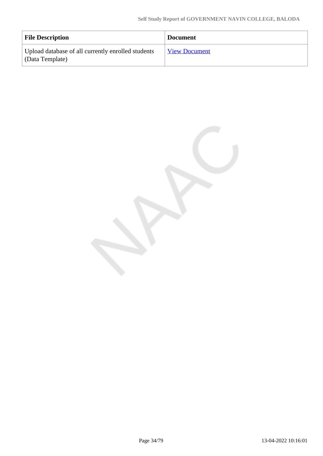| <b>File Description</b>                                               | <b>Document</b>      |
|-----------------------------------------------------------------------|----------------------|
| Upload database of all currently enrolled students<br>(Data Template) | <b>View Document</b> |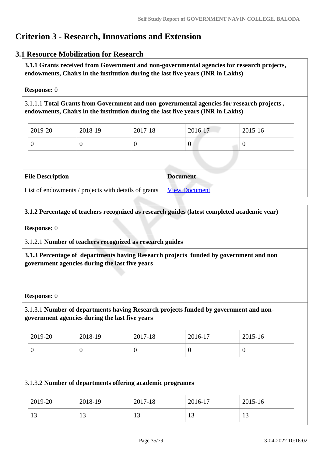# **Criterion 3 - Research, Innovations and Extension**

# **3.1 Resource Mobilization for Research**

 **3.1.1 Grants received from Government and non-governmental agencies for research projects, endowments, Chairs in the institution during the last five years (INR in Lakhs)** 

#### **Response:** 0

3.1.1.1 **Total Grants from Government and non-governmental agencies for research projects , endowments, Chairs in the institution during the last five years (INR in Lakhs)**

| 2019-20 | 2018-19 | 2017-18 | 2016-17 | $2015 - 16$ |
|---------|---------|---------|---------|-------------|
|         |         |         | ∪       |             |

| <b>File Description</b>                              | <b>Document</b>      |
|------------------------------------------------------|----------------------|
| List of endowments / projects with details of grants | <b>View Document</b> |

### **3.1.2 Percentage of teachers recognized as research guides (latest completed academic year)**

#### **Response:** 0

3.1.2.1 **Number of teachers recognized as research guides**

 **3.1.3 Percentage of departments having Research projects funded by government and non government agencies during the last five years**

#### **Response:** 0

# 3.1.3.1 **Number of departments having Research projects funded by government and nongovernment agencies during the last five years**

| 2019-20 | 2018-19 | 2017-18 | 2016-17 | 2015-16          |
|---------|---------|---------|---------|------------------|
|         |         | v       | ν       | $\boldsymbol{0}$ |

#### 3.1.3.2 **Number of departments offering academic programes**

| 2019-20           | 2018-19 | 2017-18      | 2016-17 | 2015-16        |
|-------------------|---------|--------------|---------|----------------|
| $1^{\circ}$<br>⊥◡ | ⊥◡      | $\sim$<br>⊥ັ | ⊥ັ      | $\overline{1}$ |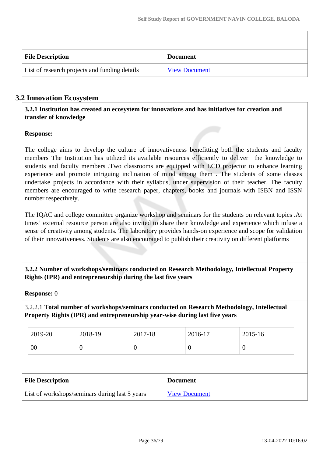| <b>File Description</b>                       | <b>Document</b>      |
|-----------------------------------------------|----------------------|
| List of research projects and funding details | <b>View Document</b> |

# **3.2 Innovation Ecosystem**

 **3.2.1 Institution has created an ecosystem for innovations and has initiatives for creation and transfer of knowledge**

### **Response:**

The college aims to develop the culture of innovativeness benefitting both the students and faculty members The Institution has utilized its available resources efficiently to deliver the knowledge to students and faculty members .Two classrooms are equipped with LCD projector to enhance learning experience and promote intriguing inclination of mind among them . The students of some classes undertake projects in accordance with their syllabus, under supervision of their teacher. The faculty members are encouraged to write research paper, chapters, books and journals with ISBN and ISSN number respectively.

The IQAC and college committee organize workshop and seminars for the students on relevant topics .At times' external resource person are also invited to share their knowledge and experience which infuse a sense of creativity among students. The laboratory provides hands-on experience and scope for validation of their innovativeness. Students are also encouraged to publish their creativity on different platforms

 **3.2.2 Number of workshops/seminars conducted on Research Methodology, Intellectual Property Rights (IPR) and entrepreneurship during the last five years**

**Response:** 0

3.2.2.1 **Total number of workshops/seminars conducted on Research Methodology, Intellectual Property Rights (IPR) and entrepreneurship year-wise during last five years** 

| 2019-20                 | 2018-19  | 2017-18 |                 | 2016-17  | 2015-16          |  |
|-------------------------|----------|---------|-----------------|----------|------------------|--|
| 00                      | $\theta$ | 0       |                 | $\theta$ | $\boldsymbol{0}$ |  |
|                         |          |         |                 |          |                  |  |
|                         |          |         |                 |          |                  |  |
| <b>File Description</b> |          |         | <b>Document</b> |          |                  |  |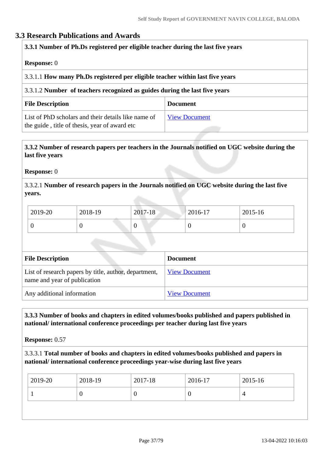#### **3.3 Research Publications and Awards**

#### **3.3.1 Number of Ph.Ds registered per eligible teacher during the last five years**

#### **Response:** 0

#### 3.3.1.1 **How many Ph.Ds registered per eligible teacher within last five years**

#### 3.3.1.2 **Number of teachers recognized as guides during the last five years**

| <b>File Description</b>                                                                              | <b>Document</b>      |
|------------------------------------------------------------------------------------------------------|----------------------|
| List of PhD scholars and their details like name of<br>the guide, title of thesis, year of award etc | <b>View Document</b> |

#### **3.3.2 Number of research papers per teachers in the Journals notified on UGC website during the last five years**

#### **Response:** 0

3.3.2.1 **Number of research papers in the Journals notified on UGC website during the last five years.**

| 2019-20 | 2018-19 | 2017-18 | $2016 - 17$ | 2015-16 |
|---------|---------|---------|-------------|---------|
|         | ິ       | ◡       | ◡           |         |

| <b>File Description</b>                                                               | <b>Document</b>      |
|---------------------------------------------------------------------------------------|----------------------|
| List of research papers by title, author, department,<br>name and year of publication | <b>View Document</b> |
| Any additional information                                                            | <b>View Document</b> |

#### **3.3.3 Number of books and chapters in edited volumes/books published and papers published in national/ international conference proceedings per teacher during last five years**

**Response:** 0.57

3.3.3.1 **Total number of books and chapters in edited volumes/books published and papers in national/ international conference proceedings year-wise during last five years**

| 2019-20 | 2018-19 | 2017-18 | 2016-17 | 2015-16 |
|---------|---------|---------|---------|---------|
|         | U       |         | ◡       |         |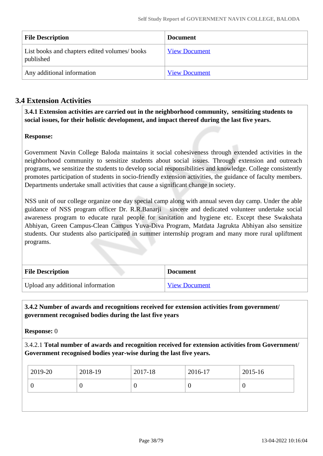| <b>File Description</b>                                   | <b>Document</b>      |
|-----------------------------------------------------------|----------------------|
| List books and chapters edited volumes/books<br>published | <b>View Document</b> |
| Any additional information                                | <b>View Document</b> |

## **3.4 Extension Activities**

 **3.4.1 Extension activities are carried out in the neighborhood community, sensitizing students to social issues, for their holistic development, and impact thereof during the last five years.**

#### **Response:**

Government Navin College Baloda maintains it social cohesiveness through extended activities in the neighborhood community to sensitize students about social issues. Through extension and outreach programs, we sensitize the students to develop social responsibilities and knowledge. College consistently promotes participation of students in socio-friendly extension activities, the guidance of faculty members. Departments undertake small activities that cause a significant change in society.

NSS unit of our college organize one day special camp along with annual seven day camp. Under the able guidance of NSS program officer Dr. R.R.Banarji sincere and dedicated volunteer undertake social awareness program to educate rural people for sanitation and hygiene etc. Except these Swakshata Abhiyan, Green Campus-Clean Campus Yuva-Diva Program, Matdata Jagrukta Abhiyan also sensitize students. Our students also participated in summer internship program and many more rural upliftment programs.

| <b>File Description</b>           | <b>Document</b>      |
|-----------------------------------|----------------------|
| Upload any additional information | <b>View Document</b> |

 **3.4.2 Number of awards and recognitions received for extension activities from government/ government recognised bodies during the last five years**

**Response:** 0

3.4.2.1 **Total number of awards and recognition received for extension activities from Government/ Government recognised bodies year-wise during the last five years.**

| $12019-20$<br>2018-19<br>2017-18<br>2016-17 | 2015-16 |
|---------------------------------------------|---------|
| U<br>U<br>υ<br>υ                            | 0       |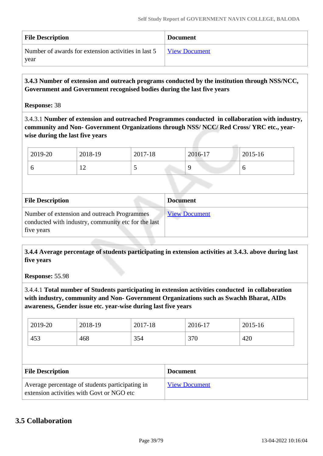| <b>File Description</b>                             | <b>Document</b> |
|-----------------------------------------------------|-----------------|
| Number of awards for extension activities in last 5 | View Document   |
| year                                                |                 |

 **3.4.3 Number of extension and outreach programs conducted by the institution through NSS/NCC, Government and Government recognised bodies during the last five years**

#### **Response:** 38

3.4.3.1 **Number of extension and outreached Programmes conducted in collaboration with industry, community and Non- Government Organizations through NSS/ NCC/ Red Cross/ YRC etc., yearwise during the last five years**

| 2019-20 | 2018-19  | 2017-18 | 2016-17 | 2015-16 |
|---------|----------|---------|---------|---------|
|         | <b>I</b> |         | -C      | v       |

| <b>File Description</b>                                                                                          | <b>Document</b>      |
|------------------------------------------------------------------------------------------------------------------|----------------------|
| Number of extension and outreach Programmes<br>conducted with industry, community etc for the last<br>five years | <b>View Document</b> |

 **3.4.4 Average percentage of students participating in extension activities at 3.4.3. above during last five years**

**Response:** 55.98

3.4.4.1 **Total number of Students participating in extension activities conducted in collaboration with industry, community and Non- Government Organizations such as Swachh Bharat, AIDs awareness, Gender issue etc. year-wise during last five years**

| 2019-20                 | 2018-19 | 2017-18 | 2016-17         | 2015-16 |
|-------------------------|---------|---------|-----------------|---------|
| 453                     | 468     | 354     | 370             | 420     |
|                         |         |         |                 |         |
| <b>File Description</b> |         |         |                 |         |
|                         |         |         | <b>Document</b> |         |

## **3.5 Collaboration**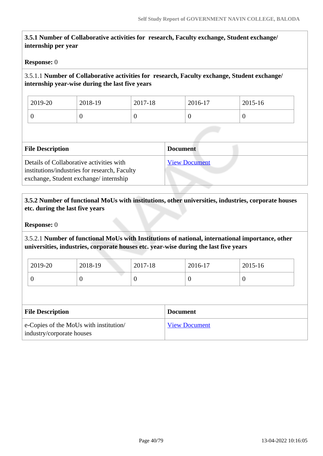#### **3.5.1 Number of Collaborative activities for research, Faculty exchange, Student exchange/ internship per year**

#### **Response:** 0

#### 3.5.1.1 **Number of Collaborative activities for research, Faculty exchange, Student exchange/ internship year-wise during the last five years**

| 2019-20 | 2018-19 | 2017-18 | 2016-17 | 2015-16 |
|---------|---------|---------|---------|---------|
|         | ν       |         | ν       |         |

| <b>File Description</b>                                                                                                            | <b>Document</b>      |
|------------------------------------------------------------------------------------------------------------------------------------|----------------------|
| Details of Collaborative activities with<br>institutions/industries for research, Faculty<br>exchange, Student exchange/internship | <b>View Document</b> |

#### **3.5.2 Number of functional MoUs with institutions, other universities, industries, corporate houses etc. during the last five years**

#### **Response:** 0

#### 3.5.2.1 **Number of functional MoUs with Institutions of national, international importance, other universities, industries, corporate houses etc. year-wise during the last five years**

| 2019-20 | 2018-19 | 2017-18 | 2016-17 | 2015-16 |
|---------|---------|---------|---------|---------|
|         | ◡       |         | U       |         |

| <b>File Description</b>                                                       | <b>Document</b>      |
|-------------------------------------------------------------------------------|----------------------|
| $\epsilon$ e-Copies of the MoUs with institution<br>industry/corporate houses | <b>View Document</b> |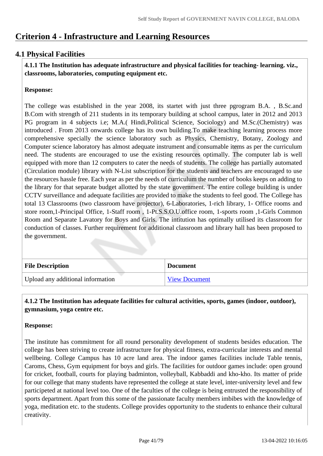## **Criterion 4 - Infrastructure and Learning Resources**

## **4.1 Physical Facilities**

 **4.1.1 The Institution has adequate infrastructure and physical facilities for teaching- learning. viz., classrooms, laboratories, computing equipment etc.** 

#### **Response:**

The college was established in the year 2008, its startet with just three pgrogram B.A. , B.Sc.and B.Com with strength of 211 students in its temporary building at school campus, later in 2012 and 2013 PG program in 4 subjects i.e; M.A.( Hindi,Political Science, Sociology) and M.Sc.(Chemistry) was introduced . From 2013 onwards college has its own building.To make teaching learning process more comprehensive specially the science laboratory such as Physics, Chemistry, Botany, Zoology and Computer science laboratory has almost adequate instrument and consumable items as per the curriculum need. The students are encouraged to use the existing resources optimally. The computer lab is well equipped with more than 12 computers to cater the needs of students. The college has partially automated (Circulation module) library with N-List subscription for the students and teachers are encouraged to use the resources hassle free. Each year as per the needs of curriculum the number of books keeps on adding to the library for that separate budget allotted by the state government. The entire college building is under CCTV surveillance and adequate facilities are provided to make the students to feel good. The College has total 13 Classrooms (two classroom have projector), 6-Laboratories, 1-rich library, 1- Office rooms and store room,1-Principal Office, 1-Staff room , 1-Pt.S.S.O.U.office room, 1-sports room ,1-Girls Common Room and Separate Lavatory for Boys and Girls. The intitution has optimally utilised its classroom for conduction of classes. Further requirement for additional classroom and library hall has been proposed to the government.

| <b>File Description</b>           | <b>Document</b>      |
|-----------------------------------|----------------------|
| Upload any additional information | <b>View Document</b> |

#### **4.1.2 The Institution has adequate facilities for cultural activities, sports, games (indoor, outdoor), gymnasium, yoga centre etc.**

#### **Response:**

The institute has commitment for all round personality development of students besides education. The college has been striving to create infrastructure for physical fitness, extra-curricular interests and mental wellbeing. College Campus has 10 acre land area. The indoor games facilities include Table tennis, Caroms, Chess, Gym equipment for boys and girls. The facilities for outdoor games include: open ground for cricket, football, courts for playing badminton, volleyball, Kabbaddi and kho-kho. Its matter of pride for our college that many students have represented the college at state level, inter-university level and few participeted at national level too. One of the faculties of the college is being entrusted the responsibility of sports department. Apart from this some of the passionate faculty members imbibes with the knowledge of yoga, meditation etc. to the students. College provides opportunity to the students to enhance their cultural creativity.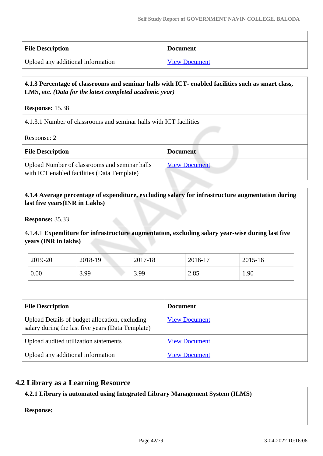| <b>File Description</b>           | <b>Document</b>      |
|-----------------------------------|----------------------|
| Upload any additional information | <b>View Document</b> |

#### **4.1.3 Percentage of classrooms and seminar halls with ICT- enabled facilities such as smart class, LMS, etc.** *(Data for the latest completed academic year)*

**Response:** 15.38

4.1.3.1 Number of classrooms and seminar halls with ICT facilities

Response: 2

| <b>File Description</b>                                                                      | <b>Document</b>      |
|----------------------------------------------------------------------------------------------|----------------------|
| Upload Number of classrooms and seminar halls<br>with ICT enabled facilities (Data Template) | <b>View Document</b> |

#### **4.1.4 Average percentage of expenditure, excluding salary for infrastructure augmentation during last five years(INR in Lakhs)**

**Response:** 35.33

4.1.4.1 **Expenditure for infrastructure augmentation, excluding salary year-wise during last five years (INR in lakhs)**

| 2019-20 | 2018-19 | 2017-18 | 2016-17 | 2015-16 |
|---------|---------|---------|---------|---------|
| 0.00    | 3.99    | 3.99    | 2.85    | 1.90    |

| <b>File Description</b>                                                                             | <b>Document</b>      |
|-----------------------------------------------------------------------------------------------------|----------------------|
| Upload Details of budget allocation, excluding<br>salary during the last five years (Data Template) | <b>View Document</b> |
| Upload audited utilization statements                                                               | <b>View Document</b> |
| Upload any additional information                                                                   | <b>View Document</b> |

#### **4.2 Library as a Learning Resource**

#### **4.2.1 Library is automated using Integrated Library Management System (ILMS)**

**Response:**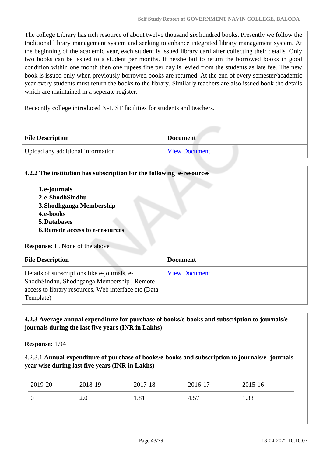The college Library has rich resource of about twelve thousand six hundred books. Presently we follow the traditional library management system and seeking to enhance integrated library management system. At the beginning of the academic year, each student is issued library card after collecting their details. Only two books can be issued to a student per months. If he/she fail to return the borrowed books in good condition within one month then one rupees fine per day is levied from the students as late fee. The new book is issued only when previously borrowed books are returned. At the end of every semester/academic year every students must return the books to the library. Similarly teachers are also issued book the details which are maintained in a seperate register.

Rececntly college introduced N-LIST facilities for students and teachers.

| <b>File Description</b>           | Document             |
|-----------------------------------|----------------------|
| Upload any additional information | <b>View Document</b> |

| 4.2.2 The institution has subscription for the following e-resources |                      |  |  |
|----------------------------------------------------------------------|----------------------|--|--|
| 1.e-journals                                                         |                      |  |  |
| 2.e-ShodhSindhu                                                      |                      |  |  |
| 3. Shodhganga Membership                                             |                      |  |  |
| 4.e-books                                                            |                      |  |  |
| <b>5. Databases</b>                                                  |                      |  |  |
| <b>6. Remote access to e-resources</b>                               |                      |  |  |
| <b>Response:</b> E. None of the above                                |                      |  |  |
| <b>File Description</b>                                              | <b>Document</b>      |  |  |
| Details of subscriptions like e-journals, e-                         | <b>View Document</b> |  |  |
| ShodhSindhu, Shodhganga Membership, Remote                           |                      |  |  |
| access to library resources, Web interface etc (Data                 |                      |  |  |
| Template)                                                            |                      |  |  |

#### **4.2.3 Average annual expenditure for purchase of books/e-books and subscription to journals/ejournals during the last five years (INR in Lakhs)**

**Response:** 1.94

#### 4.2.3.1 **Annual expenditure of purchase of books/e-books and subscription to journals/e- journals year wise during last five years (INR in Lakhs)**

| 2019-20 | 2018-19         | 2017-18 | 2016-17         | 2015-16    |
|---------|-----------------|---------|-----------------|------------|
|         | $\sim$ $\sigma$ | 1.81    | $5-$<br>$4.5$ . | 33<br>1.JJ |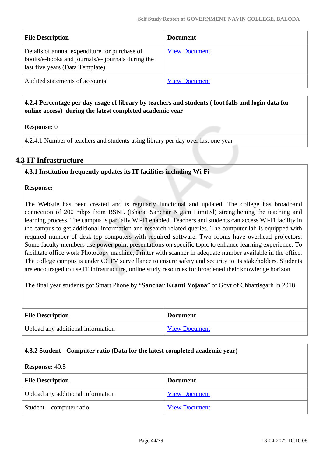| <b>File Description</b>                                                                                                              | <b>Document</b>      |
|--------------------------------------------------------------------------------------------------------------------------------------|----------------------|
| Details of annual expenditure for purchase of<br>books/e-books and journals/e-journals during the<br>last five years (Data Template) | <b>View Document</b> |
| Audited statements of accounts                                                                                                       | <b>View Document</b> |

#### **4.2.4 Percentage per day usage of library by teachers and students ( foot falls and login data for online access) during the latest completed academic year**

#### **Response:** 0

4.2.4.1 Number of teachers and students using library per day over last one year

#### **4.3 IT Infrastructure**

**4.3.1 Institution frequently updates its IT facilities including Wi-Fi**

#### **Response:**

The Website has been created and is regularly functional and updated. The college has broadband connection of 200 mbps from BSNL (Bharat Sanchar Nigam Limited) strengthening the teaching and learning process. The campus is partially Wi-Fi enabled. Teachers and students can access Wi-Fi facility in the campus to get additional information and research related queries. The computer lab is equipped with required number of desk-top computers with required software. Two rooms have overhead projectors. Some faculty members use power point presentations on specific topic to enhance learning experience. To facilitate office work Photocopy machine, Printer with scanner in adequate number available in the office. The college campus is under CCTV surveillance to ensure safety and security to its stakeholders. Students are encouraged to use IT infrastructure, online study resources for broadened their knowledge horizon.

The final year students got Smart Phone by "**Sanchar Kranti Yojana**" of Govt of Chhattisgarh in 2018.

| <b>File Description</b>           | <b>Document</b>      |
|-----------------------------------|----------------------|
| Upload any additional information | <b>View Document</b> |

#### **4.3.2 Student - Computer ratio (Data for the latest completed academic year)**

#### **Response:** 40.5

| <b>File Description</b>           | <b>Document</b>      |
|-----------------------------------|----------------------|
| Upload any additional information | <b>View Document</b> |
| Student – computer ratio          | <b>View Document</b> |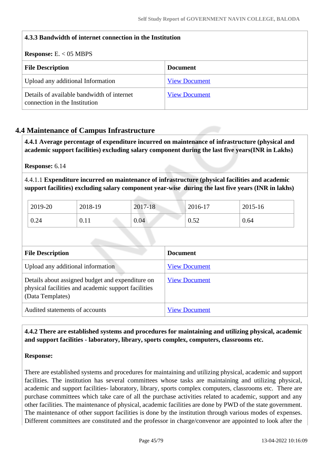| 4.3.3 Bandwidth of internet connection in the Institution                   |                      |
|-----------------------------------------------------------------------------|----------------------|
| <b>Response:</b> $E \, < 05$ MBPS                                           |                      |
| <b>File Description</b>                                                     | <b>Document</b>      |
| Upload any additional Information                                           | <b>View Document</b> |
| Details of available bandwidth of internet<br>connection in the Institution | <b>View Document</b> |

## **4.4 Maintenance of Campus Infrastructure**

 **4.4.1 Average percentage of expenditure incurred on maintenance of infrastructure (physical and academic support facilities) excluding salary component during the last five years(INR in Lakhs)**

**Response:** 6.14

4.4.1.1 **Expenditure incurred on maintenance of infrastructure (physical facilities and academic support facilities) excluding salary component year-wise during the last five years (INR in lakhs)**

| 2019-20 | 2018-19 | 2017-18 | 2016-17 | 2015-16 |
|---------|---------|---------|---------|---------|
| 0.24    | 0.11    | 0.04    | 0.52    | 0.64    |

| <b>File Description</b>                                                                                                     | <b>Document</b>      |
|-----------------------------------------------------------------------------------------------------------------------------|----------------------|
| Upload any additional information                                                                                           | <b>View Document</b> |
| Details about assigned budget and expenditure on<br>physical facilities and academic support facilities<br>(Data Templates) | <b>View Document</b> |
| Audited statements of accounts                                                                                              | <b>View Document</b> |

#### **4.4.2 There are established systems and procedures for maintaining and utilizing physical, academic and support facilities - laboratory, library, sports complex, computers, classrooms etc.**

#### **Response:**

There are established systems and procedures for maintaining and utilizing physical, academic and support facilities. The institution has several committees whose tasks are maintaining and utilizing physical, academic and support facilities- laboratory, library, sports complex computers, classrooms etc. There are purchase committees which take care of all the purchase activities related to academic, support and any other facilities. The maintenance of physical, academic facilities are done by PWD of the state government. The maintenance of other support facilities is done by the institution through various modes of expenses. Different committees are constituted and the professor in charge/convenor are appointed to look after the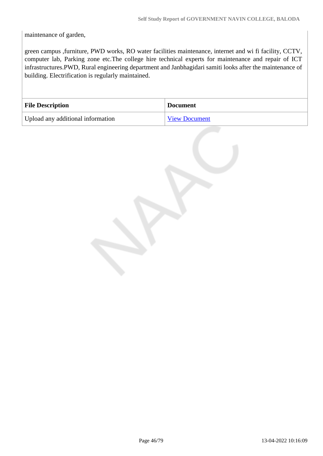maintenance of garden,

green campus ,furniture, PWD works, RO water facilities maintenance, internet and wi fi facility, CCTV, computer lab, Parking zone etc.The college hire technical experts for maintenance and repair of ICT infrastructures.PWD, Rural engineering department and Janbhagidari samiti looks after the maintenance of building. Electrification is regularly maintained.

| <b>File Description</b>           | <b>Document</b>      |
|-----------------------------------|----------------------|
| Upload any additional information | <b>View Document</b> |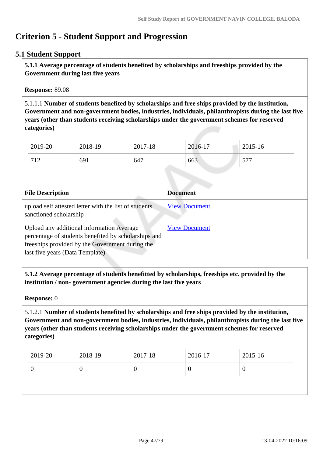## **Criterion 5 - Student Support and Progression**

#### **5.1 Student Support**

 **5.1.1 Average percentage of students benefited by scholarships and freeships provided by the Government during last five years** 

**Response:** 89.08

5.1.1.1 **Number of students benefited by scholarships and free ships provided by the institution, Government and non-government bodies, industries, individuals, philanthropists during the last five years (other than students receiving scholarships under the government schemes for reserved categories)** 

| 2019-20     | 2018-19 | 2017-18 | 2016-17 | 2015-16      |
|-------------|---------|---------|---------|--------------|
| 710<br>' 12 | 691     | 647     | 663     | 577<br>J I I |

| <b>File Description</b>                                                                                                                                                                 | <b>Document</b>      |
|-----------------------------------------------------------------------------------------------------------------------------------------------------------------------------------------|----------------------|
| upload self attested letter with the list of students<br>sanctioned scholarship                                                                                                         | <b>View Document</b> |
| Upload any additional information Average<br>percentage of students benefited by scholarships and<br>freeships provided by the Government during the<br>last five years (Data Template) | <b>View Document</b> |

 **5.1.2 Average percentage of students benefitted by scholarships, freeships etc. provided by the institution / non- government agencies during the last five years**

**Response:** 0

5.1.2.1 **Number of students benefited by scholarships and free ships provided by the institution, Government and non-government bodies, industries, individuals, philanthropists during the last five years (other than students receiving scholarships under the government schemes for reserved categories)** 

|             | $\frac{1}{2019}$ -20 | 2018-19 | $2017 - 18$ | 2016-17 | 2015-16 |
|-------------|----------------------|---------|-------------|---------|---------|
| U<br>v<br>ν |                      |         |             |         |         |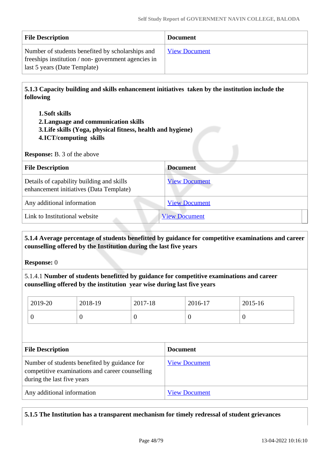| <b>File Description</b>                                                                                                                | <b>Document</b>      |
|----------------------------------------------------------------------------------------------------------------------------------------|----------------------|
| Number of students benefited by scholarships and<br>freeships institution / non-government agencies in<br>last 5 years (Date Template) | <b>View Document</b> |

 **5.1.3 Capacity building and skills enhancement initiatives taken by the institution include the following**

- **1.Soft skills**
- **2.Language and communication skills**
- **3.Life skills (Yoga, physical fitness, health and hygiene)**
- **4.ICT/computing skills**

**Response:** B. 3 of the above

| <b>File Description</b>                                                              | <b>Document</b>      |
|--------------------------------------------------------------------------------------|----------------------|
| Details of capability building and skills<br>enhancement initiatives (Data Template) | <b>View Document</b> |
| Any additional information                                                           | <b>View Document</b> |
| Link to Institutional website                                                        | <b>View Document</b> |

 **5.1.4 Average percentage of students benefitted by guidance for competitive examinations and career counselling offered by the Institution during the last five years**

**Response:** 0

5.1.4.1 **Number of students benefitted by guidance for competitive examinations and career counselling offered by the institution year wise during last five years**

| 2019-20 | 2018-19 | 2017-18 | 2016-17 | 2015-16 |
|---------|---------|---------|---------|---------|
| ິ       | ◡       | ◡       |         | ◡       |

| <b>File Description</b>                                                                                                       | <b>Document</b>      |
|-------------------------------------------------------------------------------------------------------------------------------|----------------------|
| Number of students benefited by guidance for<br>competitive examinations and career counselling<br>during the last five years | <b>View Document</b> |
| Any additional information                                                                                                    | <b>View Document</b> |

#### **5.1.5 The Institution has a transparent mechanism for timely redressal of student grievances**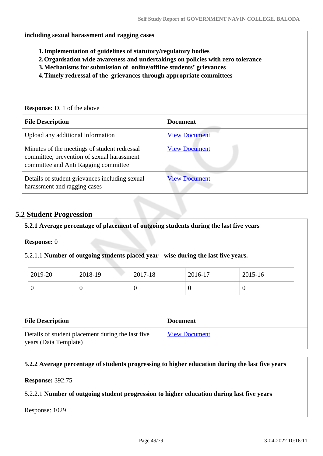#### **including sexual harassment and ragging cases**

- **1.Implementation of guidelines of statutory/regulatory bodies**
- **2.Organisation wide awareness and undertakings on policies with zero tolerance**
- **3.Mechanisms for submission of online/offline students' grievances**
- **4.Timely redressal of the grievances through appropriate committees**

## **Response:** D. 1 of the above **File Description Document** Upload any additional information [View Document](https://assessmentonline.naac.gov.in/storage/app/hei/SSR/100526/5.1.5_1627896972_3770.pdf) Minutes of the meetings of student redressal committee, prevention of sexual harassment committee and Anti Ragging committee [View Document](https://assessmentonline.naac.gov.in/storage/app/hei/SSR/100526/5.1.5_1627896007_3770.pdf) Details of student grievances including sexual harassment and ragging cases [View Document](https://assessmentonline.naac.gov.in/storage/app/hei/SSR/100526/5.1.5_1627896018_3770.pdf)

#### **5.2 Student Progression**

#### **5.2.1 Average percentage of placement of outgoing students during the last five years**

**Response:** 0

5.2.1.1 **Number of outgoing students placed year - wise during the last five years.**

| 2019-20 | 2018-19 | 2017-18 | 2016-17 | 2015-16 |
|---------|---------|---------|---------|---------|
|         | ν       |         | U       |         |

| <b>File Description</b>                                                    | <b>Document</b>      |
|----------------------------------------------------------------------------|----------------------|
| Details of student placement during the last five<br>years (Data Template) | <b>View Document</b> |

#### **5.2.2 Average percentage of students progressing to higher education during the last five years**

#### **Response:** 392.75

#### 5.2.2.1 **Number of outgoing student progression to higher education during last five years**

Response: 1029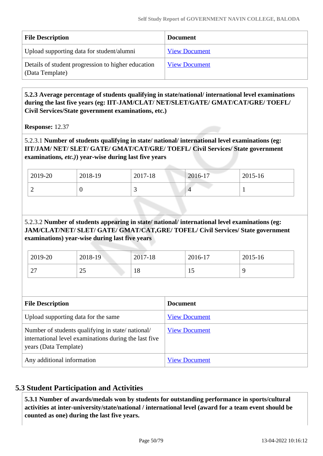| <b>File Description</b>                                               | <b>Document</b>      |
|-----------------------------------------------------------------------|----------------------|
| Upload supporting data for student/alumni                             | <b>View Document</b> |
| Details of student progression to higher education<br>(Data Template) | <b>View Document</b> |

#### **5.2.3 Average percentage of students qualifying in state/national/ international level examinations during the last five years (eg: IIT-JAM/CLAT/ NET/SLET/GATE/ GMAT/CAT/GRE/ TOEFL/ Civil Services/State government examinations, etc.)**

**Response:** 12.37

5.2.3.1 **Number of students qualifying in state/ national/ international level examinations (eg: IIT/JAM/ NET/ SLET/ GATE/ GMAT/CAT/GRE/ TOEFL/ Civil Services/ State government examinations***, etc.)***) year-wise during last five years**

| 2019-20 | 2018-19 | 2017-18 | 2016-17 | 2015-16 |
|---------|---------|---------|---------|---------|
|         | ν       |         |         |         |

#### 5.2.3.2 **Number of students appearing in state/ national/ international level examinations (eg: JAM/CLAT/NET/ SLET/ GATE/ GMAT/CAT,GRE/ TOFEL/ Civil Services/ State government examinations) year-wise during last five years**

| 2019-20                            | 2018-19         | 2017-18  | 2016-17 | 2015-16 |
|------------------------------------|-----------------|----------|---------|---------|
| $\sim$<br>$\overline{\phantom{0}}$ | $\bigcap$<br>رے | ΙC<br>10 | ⊥ັ      |         |

| <b>File Description</b>                                                                                                            | <b>Document</b>      |
|------------------------------------------------------------------------------------------------------------------------------------|----------------------|
| Upload supporting data for the same                                                                                                | <b>View Document</b> |
| Number of students qualifying in state/national/<br>international level examinations during the last five<br>years (Data Template) | <b>View Document</b> |
| Any additional information                                                                                                         | <b>View Document</b> |

## **5.3 Student Participation and Activities**

 **5.3.1 Number of awards/medals won by students for outstanding performance in sports/cultural activities at inter-university/state/national / international level (award for a team event should be counted as one) during the last five years.**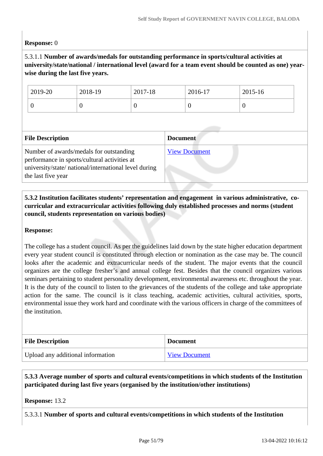#### **Response:** 0

#### 5.3.1.1 **Number of awards/medals for outstanding performance in sports/cultural activities at university/state/national / international level (award for a team event should be counted as one) yearwise during the last five years.**

| $2019-20$ | 2018-19 | 2017-18 | 2016-17 | 2015-16 |
|-----------|---------|---------|---------|---------|
|           |         |         |         |         |

| <b>File Description</b>                                                                                                                                                | <b>Document</b>      |
|------------------------------------------------------------------------------------------------------------------------------------------------------------------------|----------------------|
| Number of awards/medals for outstanding<br>performance in sports/cultural activities at<br>university/state/ national/international level during<br>the last five year | <b>View Document</b> |

#### **5.3.2 Institution facilitates students' representation and engagement in various administrative, cocurricular and extracurricular activities following duly established processes and norms (student council, students representation on various bodies)**

#### **Response:**

The college has a student council. As per the guidelines laid down by the state higher education department every year student council is constituted through election or nomination as the case may be. The council looks after the academic and extracurricular needs of the student. The major events that the council organizes are the college fresher's and annual college fest. Besides that the council organizes various seminars pertaining to student personality development, environmental awareness etc. throughout the year. It is the duty of the council to listen to the grievances of the students of the college and take appropriate action for the same. The council is it class teaching, academic activities, cultural activities, sports, environmental issue they work hard and coordinate with the various officers in charge of the committees of the institution.

| <b>File Description</b>           | <b>Document</b>      |
|-----------------------------------|----------------------|
| Upload any additional information | <b>View Document</b> |

#### **5.3.3 Average number of sports and cultural events/competitions in which students of the Institution participated during last five years (organised by the institution/other institutions)**

#### **Response:** 13.2

5.3.3.1 **Number of sports and cultural events/competitions in which students of the Institution**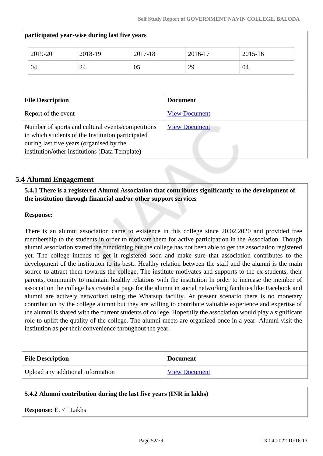|                                                                                                                                                                                                      | 2019-20 | 2018-19              | 2017-18              |  | 2016-17 | 2015-16 |
|------------------------------------------------------------------------------------------------------------------------------------------------------------------------------------------------------|---------|----------------------|----------------------|--|---------|---------|
|                                                                                                                                                                                                      | 04      | 24                   | 05                   |  | 29      | 04      |
|                                                                                                                                                                                                      |         |                      |                      |  |         |         |
| <b>File Description</b>                                                                                                                                                                              |         |                      | <b>Document</b>      |  |         |         |
| Report of the event                                                                                                                                                                                  |         | <b>View Document</b> |                      |  |         |         |
| Number of sports and cultural events/competitions<br>in which students of the Institution participated<br>during last five years (organised by the<br>institution/other institutions (Data Template) |         |                      | <b>View Document</b> |  |         |         |

## **5.4 Alumni Engagement**

**participated year-wise during last five years**

#### **5.4.1 There is a registered Alumni Association that contributes significantly to the development of the institution through financial and/or other support services**

#### **Response:**

There is an alumni association came to existence in this college since 20.02.2020 and provided free membership to the students in order to motivate them for active participation in the Association. Though alumni association started the functioning but the college has not been able to get the association registered yet. The college intends to get it registered soon and make sure that association contributes to the development of the institution to its best.. Healthy relation between the staff and the alumni is the main source to attract them towards the college. The institute motivates and supports to the ex-students, their parents, community to maintain healthy relations with the institution In order to increase the member of association the college has created a page for the alumni in social networking facilities like Facebook and alumni are actively networked using the Whatsup facility. At present scenario there is no monetary contribution by the college alumni but they are willing to contribute valuable experience and expertise of the alumni is shared with the current students of college. Hopefully the association would play a significant role to uplift the quality of the college. The alumni meets are organized once in a year. Alumni visit the institution as per their convenience throughout the year.

| <b>File Description</b>           | <b>Document</b>      |
|-----------------------------------|----------------------|
| Upload any additional information | <b>View Document</b> |

#### **5.4.2 Alumni contribution during the last five years (INR in lakhs)**

**Response:** E. <1 Lakhs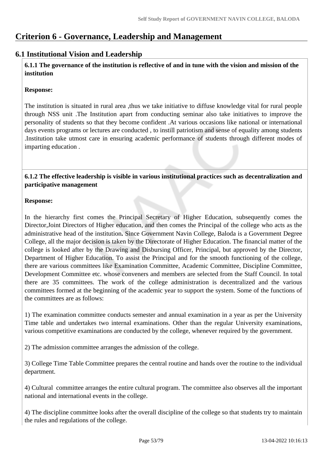## **Criterion 6 - Governance, Leadership and Management**

#### **6.1 Institutional Vision and Leadership**

 **6.1.1 The governance of the institution is reflective of and in tune with the vision and mission of the institution**

#### **Response:**

The institution is situated in rural area ,thus we take initiative to diffuse knowledge vital for rural people through NSS unit .The Institution apart from conducting seminar also take initiatives to improve the personality of students so that they become confident .At various occasions like national or international days events programs or lectures are conducted , to instill patriotism and sense of equality among students .Institution take utmost care in ensuring academic performance of students through different modes of imparting education .

#### **6.1.2 The effective leadership is visible in various institutional practices such as decentralization and participative management**

#### **Response:**

In the hierarchy first comes the Principal Secretary of Higher Education, subsequently comes the Director,Joint Directors of Higher education, and then comes the Principal of the college who acts as the administrative head of the institution**.** Since Government Navin College, Baloda is a Government Degree College, all the major decision is taken by the Directorate of Higher Education. The financial matter of the college is looked after by the Drawing and Disbursing Officer, Principal, but approved by the Director, Department of Higher Education. To assist the Principal and for the smooth functioning of the college, there are various committees like Examination Committee, Academic Committee, Discipline Committee, Development Committee etc. whose conveners and members are selected from the Staff Council. In total there are 35 committees. The work of the college administration is decentralized and the various committees formed at the beginning of the academic year to support the system. Some of the functions of the committees are as follows:

1) The examination committee conducts semester and annual examination in a year as per the University Time table and undertakes two internal examinations. Other than the regular University examinations, various competitive examinations are conducted by the college, whenever required by the government.

2) The admission committee arranges the admission of the college.

3) College Time Table Committee prepares the central routine and hands over the routine to the individual department.

4) Cultural committee arranges the entire cultural program. The committee also observes all the important national and international events in the college.

4) The discipline committee looks after the overall discipline of the college so that students try to maintain the rules and regulations of the college.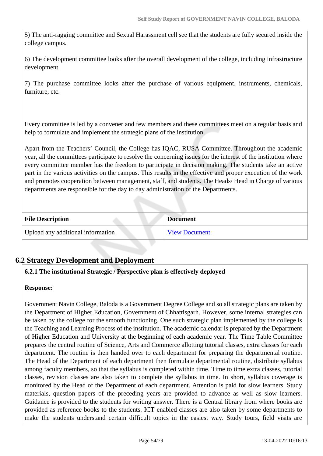5) The anti-ragging committee and Sexual Harassment cell see that the students are fully secured inside the college campus.

6) The development committee looks after the overall development of the college, including infrastructure development.

7) The purchase committee looks after the purchase of various equipment, instruments, chemicals, furniture, etc.

Every committee is led by a convener and few members and these committees meet on a regular basis and help to formulate and implement the strategic plans of the institution.

Apart from the Teachers' Council, the College has IQAC, RUSA Committee. Throughout the academic year, all the committees participate to resolve the concerning issues for the interest of the institution where every committee member has the freedom to participate in decision making. The students take an active part in the various activities on the campus. This results in the effective and proper execution of the work and promotes cooperation between management, staff, and students. The Heads/ Head in Charge of various departments are responsible for the day to day administration of the Departments.

| <b>File Description</b>           | <b>Document</b>      |
|-----------------------------------|----------------------|
| Upload any additional information | <b>View Document</b> |

## **6.2 Strategy Development and Deployment**

#### **6.2.1 The institutional Strategic / Perspective plan is effectively deployed**

#### **Response:**

Government Navin College, Baloda is a Government Degree College and so all strategic plans are taken by the Department of Higher Education, Government of Chhattisgarh. However, some internal strategies can be taken by the college for the smooth functioning. One such strategic plan implemented by the college is the Teaching and Learning Process of the institution. The academic calendar is prepared by the Department of Higher Education and University at the beginning of each academic year. The Time Table Committee prepares the central routine of Science, Arts and Commerce allotting tutorial classes, extra classes for each department. The routine is then handed over to each department for preparing the departmental routine. The Head of the Department of each department then formulate departmental routine, distribute syllabus among faculty members, so that the syllabus is completed within time. Time to time extra classes, tutorial classes, revision classes are also taken to complete the syllabus in time. In short, syllabus coverage is monitored by the Head of the Department of each department. Attention is paid for slow learners. Study materials, question papers of the preceding years are provided to advance as well as slow learners. Guidance is provided to the students for writing answer. There is a Central library from where books are provided as reference books to the students. ICT enabled classes are also taken by some departments to make the students understand certain difficult topics in the easiest way. Study tours, field visits are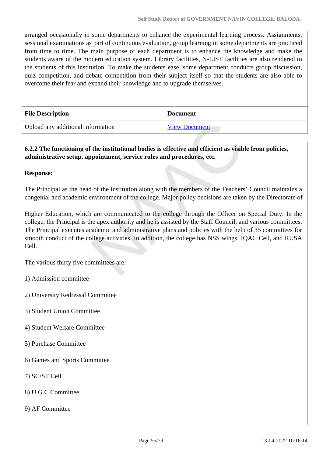arranged occasionally in some departments to enhance the experimental learning process. Assignments, sessional examinations as part of continuous evaluation, group learning in some departments are practiced from time to time. The main purpose of each department is to enhance the knowledge and make the students aware of the modern education system. Library facilities, N-LIST facilities are also rendered to the students of this institution. To make the students ease, some department conducts group discussion, quiz competition, and debate competition from their subject itself so that the students are also able to overcome their fear and expand their knowledge and to upgrade themselves.

| <b>File Description</b>           | <b>Document</b>      |
|-----------------------------------|----------------------|
| Upload any additional information | <b>View Document</b> |

#### **6.2.2 The functioning of the institutional bodies is effective and efficient as visible from policies, administrative setup, appointment, service rules and procedures, etc.**

#### **Response:**

The Principal as the head of the institution along with the members of the Teachers' Council maintains a congenial and academic environment of the college. Major policy decisions are taken by the Directorate of

Higher Education, which are communicated to the college through the Officer on Special Duty. In the college, the Principal is the apex authority and he is assisted by the Staff Council, and various committees. The Principal executes academic and administrative plans and policies with the help of 35 committees for smooth conduct of the college activities. In addition, the college has NSS wings, IQAC Cell, and RUSA Cell.

The various thirty five committees are:

- 1) Admission committee
- 2) University Redressal Committee
- 3) Student Union Committee
- 4) Student Welfare Committee
- 5) Purchase Committee
- 6) Games and Sports Committee
- 7) SC/ST Cell
- 8) U.G.C Committee
- 9) AF Committee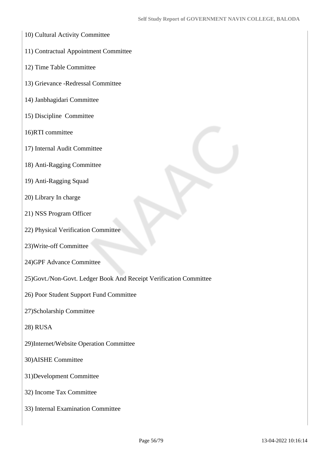- 10) Cultural Activity Committee
- 11) Contractual Appointment Committee
- 12) Time Table Committee
- 13) Grievance -Redressal Committee
- 14) Janbhagidari Committee
- 15) Discipline Committee
- 16)RTI committee
- 17) Internal Audit Committee
- 18) Anti-Ragging Committee
- 19) Anti-Ragging Squad
- 20) Library In charge
- 21) NSS Program Officer
- 22) Physical Verification Committee
- 23)Write-off Committee
- 24)GPF Advance Committee
- 25)Govt./Non-Govt. Ledger Book And Receipt Verification Committee
- 26) Poor Student Support Fund Committee
- 27)Scholarship Committee
- 28) RUSA
- 29)Internet/Website Operation Committee
- 30)AISHE Committee
- 31)Development Committee
- 32) Income Tax Committee
- 33) Internal Examination Committee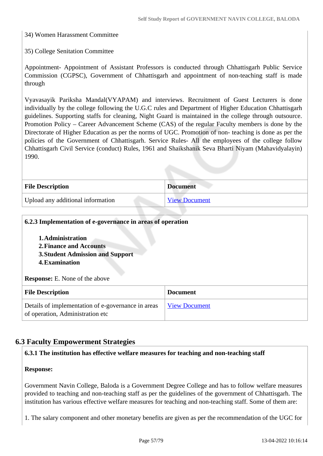34) Women Harassment Committee

35) College Senitation Committee

Appointment- Appointment of Assistant Professors is conducted through Chhattisgarh Public Service Commission (CGPSC), Government of Chhattisgarh and appointment of non-teaching staff is made through

Vyavasayik Pariksha Mandal(VYAPAM) and interviews. Recruitment of Guest Lecturers is done individually by the college following the U.G.C rules and Department of Higher Education Chhattisgarh guidelines. Supporting staffs for cleaning, Night Guard is maintained in the college through outsource. Promotion Policy – Career Advancement Scheme (CAS) of the regular Faculty members is done by the Directorate of Higher Education as per the norms of UGC. Promotion of non- teaching is done as per the policies of the Government of Chhattisgarh. Service Rules- All the employees of the college follow Chhattisgarh Civil Service (conduct) Rules, 1961 and Shaikshanik Seva Bharti Niyam (Mahavidyalayin) 1990.

| <b>File Description</b>           | <b>Document</b>      |
|-----------------------------------|----------------------|
| Upload any additional information | <b>View Document</b> |

| 6.2.3 Implementation of e-governance in areas of operation<br>1. Administration<br>2. Finance and Accounts<br><b>3. Student Admission and Support</b><br>4. Examination<br><b>Response:</b> E. None of the above |                      |
|------------------------------------------------------------------------------------------------------------------------------------------------------------------------------------------------------------------|----------------------|
| <b>File Description</b>                                                                                                                                                                                          | <b>Document</b>      |
| Details of implementation of e-governance in areas<br>of operation, Administration etc                                                                                                                           | <b>View Document</b> |

#### **6.3 Faculty Empowerment Strategies**

#### **6.3.1 The institution has effective welfare measures for teaching and non-teaching staff**

#### **Response:**

Government Navin College, Baloda is a Government Degree College and has to follow welfare measures provided to teaching and non-teaching staff as per the guidelines of the government of Chhattisgarh. The institution has various effective welfare measures for teaching and non-teaching staff. Some of them are:

1. The salary component and other monetary benefits are given as per the recommendation of the UGC for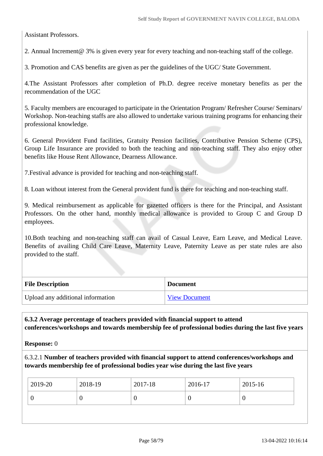Assistant Professors.

2. Annual Increment@ 3% is given every year for every teaching and non-teaching staff of the college.

3. Promotion and CAS benefits are given as per the guidelines of the UGC/ State Government.

4.The Assistant Professors after completion of Ph.D. degree receive monetary benefits as per the recommendation of the UGC

5. Faculty members are encouraged to participate in the Orientation Program/ Refresher Course/ Seminars/ Workshop. Non-teaching staffs are also allowed to undertake various training programs for enhancing their professional knowledge.

6. General Provident Fund facilities, Gratuity Pension facilities, Contributive Pension Scheme (CPS), Group Life Insurance are provided to both the teaching and non-teaching staff. They also enjoy other benefits like House Rent Allowance, Dearness Allowance.

7.Festival advance is provided for teaching and non-teaching staff.

8. Loan without interest from the General provident fund is there for teaching and non-teaching staff.

9. Medical reimbursement as applicable for gazetted officers is there for the Principal, and Assistant Professors. On the other hand, monthly medical allowance is provided to Group C and Group D employees.

10.Both teaching and non-teaching staff can avail of Casual Leave, Earn Leave, and Medical Leave. Benefits of availing Child Care Leave, Maternity Leave, Paternity Leave as per state rules are also provided to the staff.

| <b>File Description</b>           | <b>Document</b>      |
|-----------------------------------|----------------------|
| Upload any additional information | <b>View Document</b> |

 **6.3.2 Average percentage of teachers provided with financial support to attend conferences/workshops and towards membership fee of professional bodies during the last five years**

**Response:** 0

6.3.2.1 **Number of teachers provided with financial support to attend conferences/workshops and towards membership fee of professional bodies year wise during the last five years**

| 2019-20 | 2018-19 | 2017-18          | 2016-17 | $2015 - 16$ |
|---------|---------|------------------|---------|-------------|
| ν       |         | $\boldsymbol{0}$ | U       | ν           |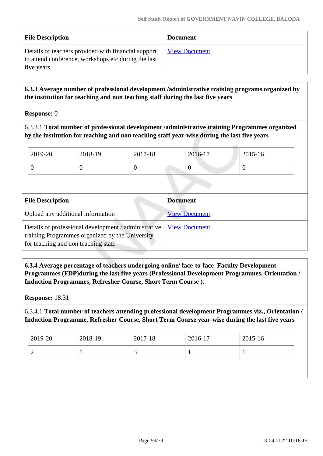| <b>File Description</b>                                                                                                  | <b>Document</b>      |
|--------------------------------------------------------------------------------------------------------------------------|----------------------|
| Details of teachers provided with financial support<br>to attend conference, workshops etc during the last<br>five years | <b>View Document</b> |

#### **6.3.3 Average number of professional development /administrative training programs organized by the institution for teaching and non teaching staff during the last five years**

#### **Response:** 0

6.3.3.1 **Total number of professional development /administrative training Programmes organized by the institution for teaching and non teaching staff year-wise during the last five years**

| 2019-20 | 2018-19 | 2017-18 | 2016-17          | 2015-16 |
|---------|---------|---------|------------------|---------|
|         |         |         | $\boldsymbol{0}$ |         |

| <b>File Description</b>                                                                                                                        | <b>Document</b>      |
|------------------------------------------------------------------------------------------------------------------------------------------------|----------------------|
| Upload any additional information                                                                                                              | <b>View Document</b> |
| Details of professional development / administrative<br>training Programmes organized by the University<br>for teaching and non teaching staff | <b>View Document</b> |

 **6.3.4 Average percentage of teachers undergoing online/ face-to-face Faculty Development Programmes (FDP)during the last five years (Professional Development Programmes, Orientation / Induction Programmes, Refresher Course, Short Term Course ).**

**Response:** 18.31

6.3.4.1 **Total number of teachers attending professional development Programmes viz., Orientation / Induction Programme, Refresher Course, Short Term Course year-wise during the last five years**

|   | 2015-16 |
|---|---------|
| ∽ |         |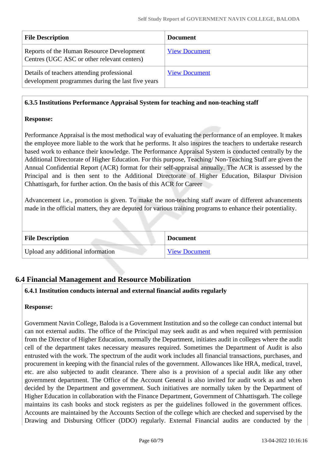| <b>File Description</b>                                                                         | <b>Document</b>      |
|-------------------------------------------------------------------------------------------------|----------------------|
| Reports of the Human Resource Development<br>Centres (UGC ASC or other relevant centers)        | <b>View Document</b> |
| Details of teachers attending professional<br>development programmes during the last five years | <b>View Document</b> |

#### **6.3.5 Institutions Performance Appraisal System for teaching and non-teaching staff**

#### **Response:**

Performance Appraisal is the most methodical way of evaluating the performance of an employee. It makes the employee more liable to the work that he performs. It also inspires the teachers to undertake research based work to enhance their knowledge. The Performance Appraisal System is conducted centrally by the Additional Directorate of Higher Education. For this purpose, Teaching/ Non-Teaching Staff are given the Annual Confidential Report (ACR) format for their self-appraisal annually. The ACR is assessed by the Principal and is then sent to the Additional Directorate of Higher Education, Bilaspur Division Chhattisgarh, for further action. On the basis of this ACR for Career

Advancement i.e., promotion is given. To make the non-teaching staff aware of different advancements made in the official matters, they are deputed for various training programs to enhance their potentiality.

| <b>File Description</b>           | <b>Document</b>      |
|-----------------------------------|----------------------|
| Upload any additional information | <b>View Document</b> |

#### **6.4 Financial Management and Resource Mobilization**

#### **6.4.1 Institution conducts internal and external financial audits regularly**

#### **Response:**

Government Navin College, Baloda is a Government Institution and so the college can conduct internal but can not external audits. The office of the Principal may seek audit as and when required with permission from the Director of Higher Education, normally the Department, initiates audit in colleges where the audit cell of the department takes necessary measures required. Sometimes the Department of Audit is also entrusted with the work. The spectrum of the audit work includes all financial transactions, purchases, and procurement in keeping with the financial rules of the government. Allowances like HRA, medical, travel, etc. are also subjected to audit clearance. There also is a provision of a special audit like any other government department. The Office of the Account General is also invited for audit work as and when decided by the Department and government. Such initiatives are normally taken by the Department of Higher Education in collaboration with the Finance Department, Government of Chhattisgarh. The college maintains its cash books and stock registers as per the guidelines followed in the government offices. Accounts are maintained by the Accounts Section of the college which are checked and supervised by the Drawing and Disbursing Officer (DDO) regularly. External Financial audits are conducted by the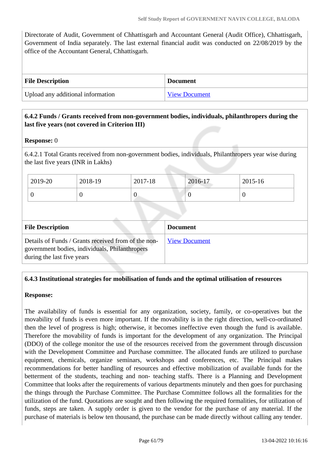Directorate of Audit, Government of Chhattisgarh and Accountant General (Audit Office), Chhattisgarh, Government of India separately. The last external financial audit was conducted on 22/08/2019 by the office of the Accountant General, Chhattisgarh.

| <b>File Description</b>           | <b>Document</b>      |
|-----------------------------------|----------------------|
| Upload any additional information | <b>View Document</b> |

#### **6.4.2 Funds / Grants received from non-government bodies, individuals, philanthropers during the last five years (not covered in Criterion III)**

#### **Response:** 0

6.4.2.1 Total Grants received from non-government bodies, individuals, Philanthropers year wise during the last five years (INR in Lakhs)

| 2019-20 | 2018-19 | 2017-18 | 2016-17 | 2015-16 |
|---------|---------|---------|---------|---------|
|         |         | ν       | ``      |         |

| <b>File Description</b>                                                                                                             | <b>Document</b>      |
|-------------------------------------------------------------------------------------------------------------------------------------|----------------------|
| Details of Funds / Grants received from of the non-<br>government bodies, individuals, Philanthropers<br>during the last five years | <b>View Document</b> |

#### **6.4.3 Institutional strategies for mobilisation of funds and the optimal utilisation of resources**

#### **Response:**

The availability of funds is essential for any organization, society, family, or co-operatives but the movability of funds is even more important. If the movability is in the right direction, well-co-ordinated then the level of progress is high; otherwise, it becomes ineffective even though the fund is available. Therefore the movability of funds is important for the development of any organization. The Principal (DDO) of the college monitor the use of the resources received from the government through discussion with the Development Committee and Purchase committee. The allocated funds are utilized to purchase equipment, chemicals, organize seminars, workshops and conferences, etc. The Principal makes recommendations for better handling of resources and effective mobilization of available funds for the betterment of the students, teaching and non- teaching staffs. There is a Planning and Development Committee that looks after the requirements of various departments minutely and then goes for purchasing the things through the Purchase Committee. The Purchase Committee follows all the formalities for the utilization of the fund. Quotations are sought and then following the required formalities, for utilization of funds, steps are taken. A supply order is given to the vendor for the purchase of any material. If the purchase of materials is below ten thousand, the purchase can be made directly without calling any tender.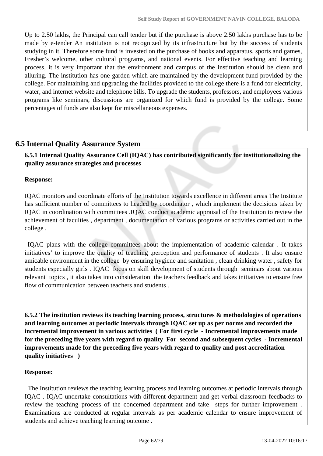Up to 2.50 lakhs, the Principal can call tender but if the purchase is above 2.50 lakhs purchase has to be made by e-tender An institution is not recognized by its infrastructure but by the success of students studying in it. Therefore some fund is invested on the purchase of books and apparatus, sports and games, Fresher's welcome, other cultural programs, and national events. For effective teaching and learning process, it is very important that the environment and campus of the institution should be clean and alluring. The institution has one garden which are maintained by the development fund provided by the college. For maintaining and upgrading the facilities provided to the college there is a fund for electricity, water, and internet website and telephone bills. To upgrade the students, professors, and employees various programs like seminars, discussions are organized for which fund is provided by the college. Some percentages of funds are also kept for miscellaneous expenses.

#### **6.5 Internal Quality Assurance System**

 **6.5.1 Internal Quality Assurance Cell (IQAC) has contributed significantly for institutionalizing the quality assurance strategies and processes**

#### **Response:**

IQAC monitors and coordinate efforts of the Institution towards excellence in different areas The Institute has sufficient number of committees to headed by coordinator , which implement the decisions taken by IQAC in coordination with committees .IQAC conduct academic appraisal of the Institution to review the achievement of faculties , department , documentation of various programs or activities carried out in the college .

 IQAC plans with the college committees about the implementation of academic calendar . It takes initiatives' to improve the quality of teaching ,perception and performance of students . It also ensure amicable environment in the college by ensuring hygiene and sanitation , clean drinking water , safety for students especially girls . IQAC focus on skill development of students through seminars about various relevant topics , it also takes into consideration the teachers feedback and takes initiatives to ensure free flow of communication between teachers and students .

 **6.5.2 The institution reviews its teaching learning process, structures & methodologies of operations and learning outcomes at periodic intervals through IQAC set up as per norms and recorded the incremental improvement in various activities ( For first cycle - Incremental improvements made for the preceding five years with regard to quality For second and subsequent cycles - Incremental improvements made for the preceding five years with regard to quality and post accreditation quality initiatives )** 

#### **Response:**

 The Institution reviews the teaching learning process and learning outcomes at periodic intervals through IQAC . IQAC undertake consultations with different department and get verbal classroom feedbacks to review the teaching process of the concerned department and take steps for further improvement . Examinations are conducted at regular intervals as per academic calendar to ensure improvement of students and achieve teaching learning outcome .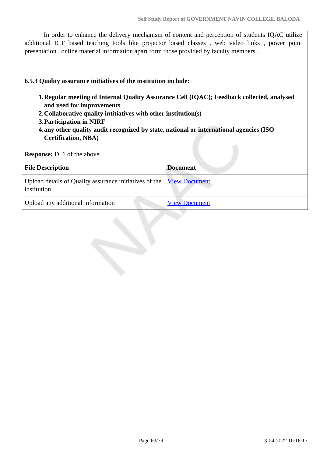In order to enhance the delivery mechanism of content and perception of students IQAC utilize additional ICT based teaching tools like projector based classes , web video links , power point presentation , online material information apart form those provided by faculty members .

#### **6.5.3 Quality assurance initiatives of the institution include:**

- **1.Regular meeting of Internal Quality Assurance Cell (IQAC); Feedback collected, analysed and used for improvements**
- **2.Collaborative quality intitiatives with other institution(s)**
- **3.Participation in NIRF**
- **4.any other quality audit recognized by state, national or international agencies (ISO Certification, NBA)**

**Response:** D. 1 of the above

| <b>File Description</b>                                                                    | <b>Document</b>      |
|--------------------------------------------------------------------------------------------|----------------------|
| Upload details of Quality assurance initiatives of the <u>View Document</u><br>institution |                      |
| Upload any additional information                                                          | <b>View Document</b> |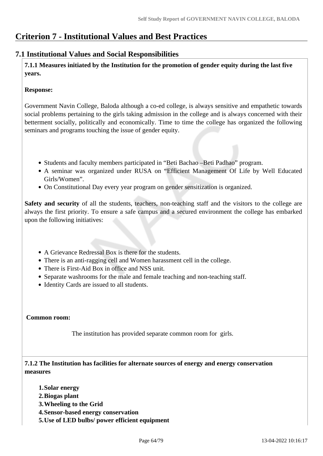## **Criterion 7 - Institutional Values and Best Practices**

#### **7.1 Institutional Values and Social Responsibilities**

 **7.1.1 Measures initiated by the Institution for the promotion of gender equity during the last five years.**

#### **Response:**

Government Navin College, Baloda although a co-ed college, is always sensitive and empathetic towards social problems pertaining to the girls taking admission in the college and is always concerned with their betterment socially, politically and economically. Time to time the college has organized the following seminars and programs touching the issue of gender equity.

- Students and faculty members participated in "Beti Bachao –Beti Padhao" program.
- A seminar was organized under RUSA on "Efficient Management Of Life by Well Educated Girls/Women".
- On Constitutional Day every year program on gender sensitization is organized.

**Safety and security** of all the students, teachers, non-teaching staff and the visitors to the college are always the first priority. To ensure a safe campus and a secured environment the college has embarked upon the following initiatives:

- A Grievance Redressal Box is there for the students.
- There is an anti-ragging cell and Women harassment cell in the college.
- There is First-Aid Box in office and NSS unit.
- Separate washrooms for the male and female teaching and non-teaching staff.
- Identity Cards are issued to all students.

#### **Common room:**

The institution has provided separate common room for girls.

 **7.1.2 The Institution has facilities for alternate sources of energy and energy conservation measures** 

- **1.Solar energy**
- **2.Biogas plant**
- **3.Wheeling to the Grid**
- **4.Sensor-based energy conservation**
- **5.Use of LED bulbs/ power efficient equipment**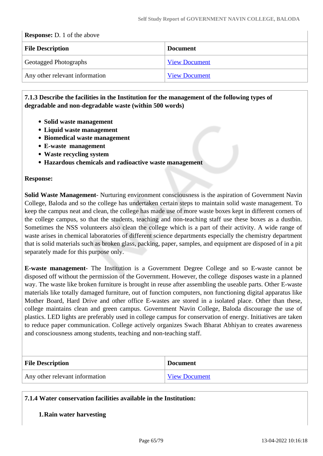| <b>Response:</b> D. 1 of the above |                      |
|------------------------------------|----------------------|
| <b>File Description</b>            | <b>Document</b>      |
| <b>Geotagged Photographs</b>       | <b>View Document</b> |
| Any other relevant information     | <b>View Document</b> |

#### **7.1.3 Describe the facilities in the Institution for the management of the following types of degradable and non-degradable waste (within 500 words)**

- **Solid waste management**
- **Liquid waste management**
- **Biomedical waste management**
- **E-waste management**
- **Waste recycling system**
- **Hazardous chemicals and radioactive waste management**

#### **Response:**

**Solid Waste Management**- Nurturing environment consciousness is the aspiration of Government Navin College, Baloda and so the college has undertaken certain steps to maintain solid waste management. To keep the campus neat and clean, the college has made use of more waste boxes kept in different corners of the college campus, so that the students, teaching and non-teaching staff use these boxes as a dustbin. Sometimes the NSS volunteers also clean the college which is a part of their activity. A wide range of waste arises in chemical laboratories of different science departments especially the chemistry department that is solid materials such as broken glass, packing, paper, samples, and equipment are disposed of in a pit separately made for this purpose only.

**E-waste management**- The Institution is a Government Degree College and so E-waste cannot be disposed off without the permission of the Government. However, the college disposes waste in a planned way. The waste like broken furniture is brought in reuse after assembling the useable parts. Other E-waste materials like totally damaged furniture, out of function computers, non functioning digital apparatus like Mother Board, Hard Drive and other office E-wastes are stored in a isolated place. Other than these, college maintains clean and green campus. Government Navin College, Baloda discourage the use of plastics. LED lights are preferably used in college campus for conservation of energy. Initiatives are taken to reduce paper communication. College actively organizes Swach Bharat Abhiyan to creates awareness and consciousness among students, teaching and non-teaching staff.

| <b>File Description</b>        | <b>Document</b>      |
|--------------------------------|----------------------|
| Any other relevant information | <b>View Document</b> |

#### **7.1.4 Water conservation facilities available in the Institution:**

#### **1.Rain water harvesting**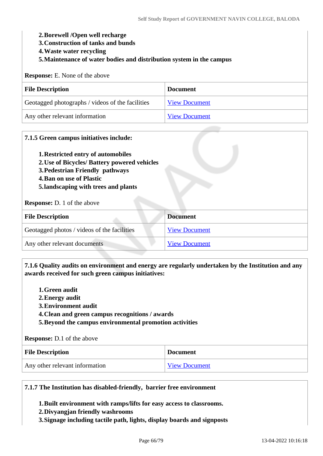- **2.Borewell /Open well recharge**
- **3.Construction of tanks and bunds**
- **4.Waste water recycling**
- **5.Maintenance of water bodies and distribution system in the campus**

| <b>Response:</b> E. None of the above |  |  |  |
|---------------------------------------|--|--|--|
|---------------------------------------|--|--|--|

| <b>File Description</b>                          | <b>Document</b>      |
|--------------------------------------------------|----------------------|
| Geotagged photographs / videos of the facilities | <b>View Document</b> |
| Any other relevant information                   | <b>View Document</b> |

| 1. Restricted entry of automobiles<br>2. Use of Bicycles/ Battery powered vehicles<br>3. Pedestrian Friendly pathways<br><b>4. Ban on use of Plastic</b><br>5.landscaping with trees and plants |                      |
|-------------------------------------------------------------------------------------------------------------------------------------------------------------------------------------------------|----------------------|
| <b>Response:</b> D. 1 of the above                                                                                                                                                              |                      |
| <b>File Description</b>                                                                                                                                                                         | <b>Document</b>      |
| Geotagged photos / videos of the facilities                                                                                                                                                     | <b>View Document</b> |

 **7.1.6 Quality audits on environment and energy are regularly undertaken by the Institution and any awards received for such green campus initiatives:**

- **1.Green audit**
- **2.Energy audit**
- **3.Environment audit**
- **4.Clean and green campus recognitions / awards**
- **5.Beyond the campus environmental promotion activities**

#### **Response:** D.1 of the above

| <b>File Description</b>        | <b>Document</b>      |
|--------------------------------|----------------------|
| Any other relevant information | <b>View Document</b> |

#### **7.1.7 The Institution has disabled-friendly, barrier free environment**

- **1.Built environment with ramps/lifts for easy access to classrooms.**
- **2.Divyangjan friendly washrooms**
- **3.Signage including tactile path, lights, display boards and signposts**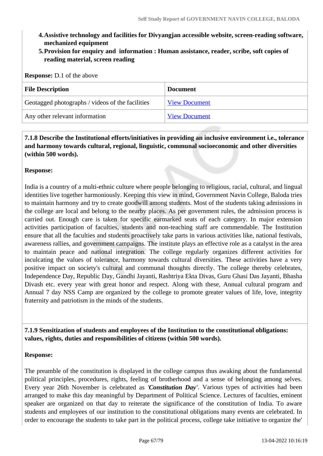- **4.Assistive technology and facilities for Divyangjan accessible website, screen-reading software, mechanized equipment**
- **5.Provision for enquiry and information : Human assistance, reader, scribe, soft copies of reading material, screen reading**

# **Response:** D.1 of the above **File Description Document** Geotagged photographs / videos of the facilities [View Document](https://assessmentonline.naac.gov.in/storage/app/hei/SSR/100526/7.1.7_1628591207_3770.jpeg) Any other relevant information [View Document](https://assessmentonline.naac.gov.in/storage/app/hei/SSR/100526/7.1.7_1628591234_3770.pdf)

 **7.1.8 Describe the Institutional efforts/initiatives in providing an inclusive environment i.e., tolerance and harmony towards cultural, regional, linguistic, communal socioeconomic and other diversities (within 500 words).**

#### **Response:**

India is a country of a multi-ethnic culture where people belonging to religious, racial, cultural, and lingual identities live together harmoniously. Keeping this view in mind, Government Navin College, Baloda tries to maintain harmony and try to create goodwill among students. Most of the students taking admissions in the college are local and belong to the nearby places. As per government rules, the admission process is carried out. Enough care is taken for specific earmarked seats of each category. In major extension activities participation of faculties, students and non-teaching staff are commendable. The Institution ensure that all the faculties and students proactively take parts in various activities like, national festivals, awareness rallies, and government campaigns. The institute plays an effective role as a catalyst in the area to maintain peace and national integration. The college regularly organizes different activities for inculcating the values of tolerance, harmony towards cultural diversities. These activities have a very positive impact on society's cultural and communal thoughts directly. The college thereby celebrates, Independence Day, Republic Day, Gandhi Jayanti, Rashtriya Ekta Divas, Guru Ghasi Das Jayanti, Bhasha Divash etc. every year with great honor and respect. Along with these, Annual cultural program and Annual 7 day NSS Camp are organized by the college to promote greater values of life, love, integrity fraternity and patriotism in the minds of the students.

 **7.1.9 Sensitization of students and employees of the Institution to the constitutional obligations: values, rights, duties and responsibilities of citizens (within 500 words).**

#### **Response:**

The preamble of the constitution is displayed in the college campus thus awaking about the fundamental political principles, procedures, rights, feeling of brotherhood and a sense of belonging among selves. Every year 26th November is celebrated as *'Constitution Day'*. Various types of activities had been arranged to make this day meaningful by Department of Political Science. Lectures of faculties, eminent speaker are organized on that day to reiterate the significance of the constitution of India. To aware students and employees of our institution to the constitutional obligations many events are celebrated. In order to encourage the students to take part in the political process, college take initiative to organize the'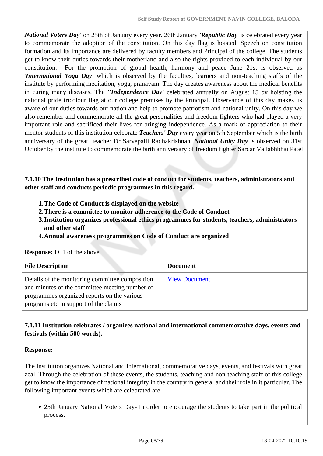*National Voters Day'* on 25th of January every year. 26th January *'Republic Day*' is celebrated every year to commemorate the adoption of the constitution. On this day flag is hoisted. Speech on constitution formation and its importance are delivered by faculty members and Principal of the college. The students get to know their duties towards their motherland and also the rights provided to each individual by our constitution. For the promotion of global health, harmony and peace June 21st is observed as '*International Yoga Day'* which is observed by the faculties, learners and non-teaching staffs of the institute by performing meditation, yoga, pranayam. The day creates awareness about the medical benefits in curing many diseases. The *''Independence Day'* celebrated annually on August 15 by hoisting the national pride tricolour flag at our college premises by the Principal. Observance of this day makes us aware of our duties towards our nation and help to promote patriotism and national unity. On this day we also remember and commemorate all the great personalities and freedom fighters who had played a very important role and sacrificed their lives for bringing independence. As a mark of appreciation to their mentor students of this institution celebrate *Teachers' Day* every year on 5th September which is the birth anniversary of the great teacher Dr Sarvepalli Radhakrishnan. *National Unity Day* is observed on 31st October by the institute to commemorate the birth anniversary of freedom fighter Sardar Vallabhbhai Patel

 **7.1.10 The Institution has a prescribed code of conduct for students, teachers, administrators and other staff and conducts periodic programmes in this regard.** 

- **1.The Code of Conduct is displayed on the website**
- **2.There is a committee to monitor adherence to the Code of Conduct**
- **3.Institution organizes professional ethics programmes for students, teachers, administrators and other staff**
- **4.Annual awareness programmes on Code of Conduct are organized**

#### **Response:** D. 1 of the above

| <b>File Description</b>                                                                                                                                                                   | <b>Document</b>      |
|-------------------------------------------------------------------------------------------------------------------------------------------------------------------------------------------|----------------------|
| Details of the monitoring committee composition<br>and minutes of the committee meeting number of<br>programmes organized reports on the various<br>programs etc in support of the claims | <b>View Document</b> |

#### **7.1.11 Institution celebrates / organizes national and international commemorative days, events and festivals (within 500 words).**

#### **Response:**

The Institution organizes National and International, commemorative days, events, and festivals with great zeal. Through the celebration of these events, the students, teaching and non-teaching staff of this college get to know the importance of national integrity in the country in general and their role in it particular. The following important events which are celebrated are

25th January National Voters Day- In order to encourage the students to take part in the political process.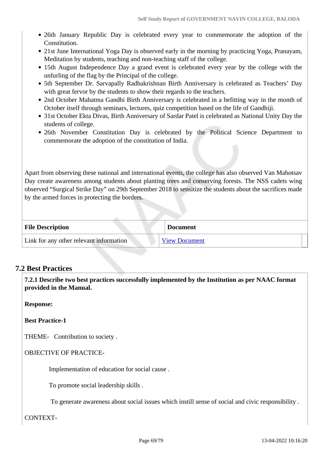- 26th January Republic Day is celebrated every year to commemorate the adoption of the Constitution.
- 21st June International Yoga Day is observed early in the morning by practicing Yoga, Pranayam, Meditation by students, teaching and non-teaching staff of the college.
- 15th August Independence Day a grand event is celebrated every year by the college with the unfurling of the flag by the Principal of the college.
- 5th September Dr. Sarvapally Radhakrishnan Birth Anniversary is celebrated as Teachers' Day with great fervor by the students to show their regards to the teachers.
- 2nd October Mahatma Gandhi Birth Anniversary is celebrated in a befitting way in the month of October itself through seminars, lectures, quiz competition based on the life of Gandhiji.
- 31st October Ekta Divas, Birth Anniversary of Sardar Patel is celebrated as National Unity Day the students of college.
- 26th November Constitution Day is celebrated by the Political Science Department to commemorate the adoption of the constitution of India.

Apart from observing these national and international events, the college has also observed Van Mahotsav Day create awareness among students about planting trees and conserving forests. The NSS cadets wing observed "Surgical Strike Day" on 29th September 2018 to sensitize the students about the sacrifices made by the armed forces in protecting the borders.

| <b>File Description</b>                 | <b>Document</b>      |
|-----------------------------------------|----------------------|
| Link for any other relevant information | <b>View Document</b> |

#### **7.2 Best Practices**

 **7.2.1 Describe two best practices successfully implemented by the Institution as per NAAC format provided in the Manual.**

**Response:** 

**Best Practice-1**

THEME- Contribution to society .

OBJECTIVE OF PRACTICE-

Implementation of education for social cause .

To promote social leadership skills .

To generate awareness about social issues which instill sense of social and civic responsibility .

CONTEXT-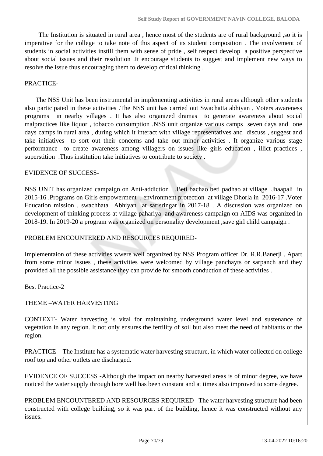The Institution is situated in rural area , hence most of the students are of rural background ,so it is imperative for the college to take note of this aspect of its student composition . The involvement of students in social activities instill them with sense of pride , self respect develop a positive perspective about social issues and their resolution .It encourage students to suggest and implement new ways to resolve the issue thus encouraging them to develop critical thinking .

#### PRACTICE-

 The NSS Unit has been instrumental in implementing activities in rural areas although other students also participated in these activities .The NSS unit has carried out Swachatta abhiyan , Voters awareness programs in nearby villages . It has also organized dramas to generate awareness about social malpractices like liquor , tobacco consumption .NSS unit organize various camps seven days and one days camps in rural area , during which it interact with village representatives and discuss , suggest and take initiatives to sort out their concerns and take out minor activities . It organize various stage performance to create awareness among villagers on issues like girls education , illict practices , superstition .Thus institution take initiatives to contribute to society .

#### EVIDENCE OF SUCCESS-

NSS UNIT has organized campaign on Anti-addiction ,Beti bachao beti padhao at village Jhaapali in 2015-16 .Programs on Girls empowerment , environment protection at village Dhorla in 2016-17 .Voter Education mission , swachhata Abhiyan at sarisringar in 2017-18 . A discussion was organized on development of thinking process at village pahariya and awareness campaign on AIDS was organized in 2018-19. In 2019-20 a program was organized on personality development ,save girl child campaign .

#### PROBLEM ENCOUNTERED AND RESOURCES REQUIRED-

Implementaion of these activities wwere well organized by NSS Program officer Dr. R.R.Banerji . Apart from some minor issues , these activities were welcomed by village panchayts or sarpanch and they provided all the possible assistance they can provide for smooth conduction of these activities .

Best Practice-2

#### THEME –WATER HARVESTING

CONTEXT- Water harvesting is vital for maintaining underground water level and sustenance of vegetation in any region. It not only ensures the fertility of soil but also meet the need of habitants of the region.

PRACTICE—The Institute has a systematic water harvesting structure, in which water collected on college roof top and other outlets are discharged.

EVIDENCE OF SUCCESS -Although the impact on nearby harvested areas is of minor degree, we have noticed the water supply through bore well has been constant and at times also improved to some degree.

PROBLEM ENCOUNTERED AND RESOURCES REQUIRED –The water harvesting structure had been constructed with college building, so it was part of the building, hence it was constructed without any issues.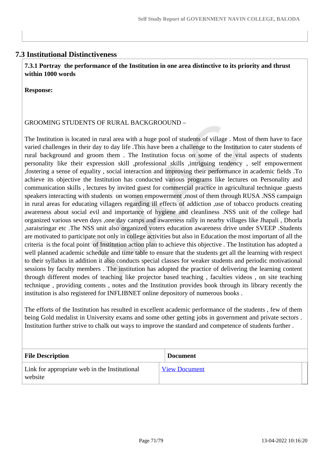#### **7.3 Institutional Distinctiveness**

 **7.3.1 Portray the performance of the Institution in one area distinctive to its priority and thrust within 1000 words**

**Response:** 

#### GROOMING STUDENTS OF RURAL BACKGROOUND –

The Institution is located in rural area with a huge pool of students of village . Most of them have to face varied challenges in their day to day life .This have been a challenge to the Institution to cater students of rural background and groom them . The Institution focus on some of the vital aspects of students personality like their expression skill ,professional skills ,intriguing tendency , self empowerment ,fostering a sense of equality , social interaction and improving their performance in academic fields .To achieve its objective the Institution has conducted various programs like lectures on Personality and communication skills , lectures by invited guest for commercial practice in agricultural technique .guests speakers interacting with students on women empowerment ,most of them through RUSA .NSS campaign in rural areas for educating villagers regarding ill effects of addiction ,use of tobacco products creating awareness about social evil and importance of hygiene and cleanliness .NSS unit of the college had organized various seven days ,one day camps and awareness rally in nearby villages like Jhapali , Dhorla ,saraisringar etc .The NSS unit also organized voters education awareness drive under SVEEP .Students are motivated to participate not only in college activities but also in Education the most important of all the criteria is the focal point of Institution action plan to achieve this objective . The Institution has adopted a well planned academic schedule and time table to ensure that the students get all the learning with respect to their syllabus in addition it also conducts special classes for weaker students and periodic motivational sessions by faculty members . The institution has adopted the practice of delivering the learning content through different modes of teaching like projector based teaching , faculties videos , on site teaching technique , providing contents , notes and the Institution provides book through its library recently the institution is also registered for INFLIBNET online depository of numerous books .

The efforts of the Institution has resulted in excellent academic performance of the students , few of them being Gold medalist in University exams and some other getting jobs in government and private sectors . Institution further strive to chalk out ways to improve the standard and competence of students further .

| <b>File Description</b>                                  | <b>Document</b>      |
|----------------------------------------------------------|----------------------|
| Link for appropriate web in the Institutional<br>website | <b>View Document</b> |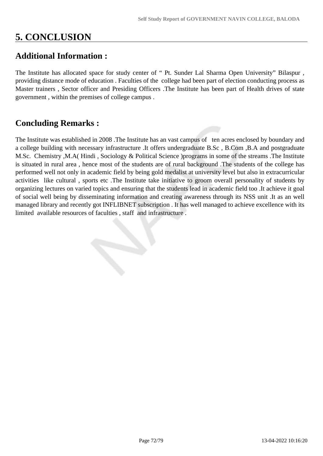## **5. CONCLUSION**

## **Additional Information :**

The Institute has allocated space for study center of " Pt. Sunder Lal Sharma Open University" Bilaspur , providing distance mode of education . Faculties of the college had been part of election conducting process as Master trainers , Sector officer and Presiding Officers .The Institute has been part of Health drives of state government , within the premises of college campus .

## **Concluding Remarks :**

The Institute was established in 2008 .The Institute has an vast campus of ten acres enclosed by boundary and a college building with necessary infrastructure .It offers undergraduate B.Sc , B.Com ,B.A and postgraduate M.Sc. Chemistry ,M.A( Hindi , Sociology & Political Science )programs in some of the streams .The Institute is situated in rural area , hence most of the students are of rural background .The students of the college has performed well not only in academic field by being gold medalist at university level but also in extracurricular activities like cultural , sports etc .The Institute take initiative to groom overall personality of students by organizing lectures on varied topics and ensuring that the students lead in academic field too .It achieve it goal of social well being by disseminating information and creating awareness through its NSS unit .It as an well managed library and recently got INFLIBNET subscription . It has well managed to achieve excellence with its limited available resources of faculties , staff and infrastructure .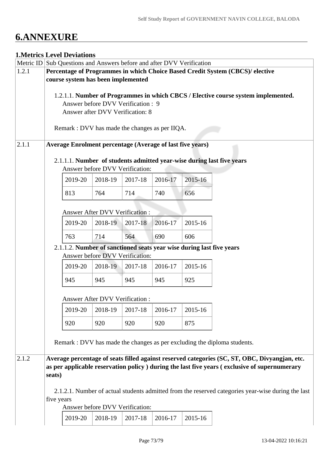## **6.ANNEXURE**

## **1.Metrics Level Deviations**

|       |            |                                                                  |         |         |         | Metric ID Sub Questions and Answers before and after DVV Verification |                                                                                                    |
|-------|------------|------------------------------------------------------------------|---------|---------|---------|-----------------------------------------------------------------------|----------------------------------------------------------------------------------------------------|
| 1.2.1 |            |                                                                  |         |         |         |                                                                       | Percentage of Programmes in which Choice Based Credit System (CBCS)/ elective                      |
|       |            | course system has been implemented                               |         |         |         |                                                                       |                                                                                                    |
|       |            |                                                                  |         |         |         |                                                                       |                                                                                                    |
|       |            |                                                                  |         |         |         |                                                                       | 1.2.1.1. Number of Programmes in which CBCS / Elective course system implemented.                  |
|       |            | Answer before DVV Verification: 9                                |         |         |         |                                                                       |                                                                                                    |
|       |            | Answer after DVV Verification: 8                                 |         |         |         |                                                                       |                                                                                                    |
|       |            | Remark : DVV has made the changes as per IIQA.                   |         |         |         |                                                                       |                                                                                                    |
|       |            |                                                                  |         |         |         |                                                                       |                                                                                                    |
| 2.1.1 |            | <b>Average Enrolment percentage (Average of last five years)</b> |         |         |         |                                                                       |                                                                                                    |
|       |            |                                                                  |         |         |         |                                                                       |                                                                                                    |
|       |            |                                                                  |         |         |         |                                                                       | 2.1.1.1. Number of students admitted year-wise during last five years                              |
|       |            | Answer before DVV Verification:                                  |         |         |         |                                                                       |                                                                                                    |
|       |            | 2019-20                                                          | 2018-19 | 2017-18 | 2016-17 | 2015-16                                                               |                                                                                                    |
|       |            | 813                                                              | 764     | 714     | 740     | 656                                                                   |                                                                                                    |
|       |            | Answer After DVV Verification :                                  |         |         |         |                                                                       |                                                                                                    |
|       |            | 2019-20                                                          | 2018-19 | 2017-18 | 2016-17 | 2015-16                                                               |                                                                                                    |
|       |            |                                                                  |         |         |         |                                                                       |                                                                                                    |
|       |            | 763                                                              | 714     | 564     | 690     | 606                                                                   |                                                                                                    |
|       |            |                                                                  |         |         |         | 2.1.1.2. Number of sanctioned seats year wise during last five years  |                                                                                                    |
|       |            | Answer before DVV Verification:                                  |         |         |         |                                                                       |                                                                                                    |
|       |            | 2019-20                                                          | 2018-19 | 2017-18 | 2016-17 | 2015-16                                                               |                                                                                                    |
|       |            | 945                                                              | 945     | 945     | 945     | 925                                                                   |                                                                                                    |
|       |            | Answer After DVV Verification :                                  |         |         |         |                                                                       |                                                                                                    |
|       |            | 2019-20                                                          | 2018-19 | 2017-18 | 2016-17 | 2015-16                                                               |                                                                                                    |
|       |            | 920                                                              | 920     | 920     | 920     | 875                                                                   |                                                                                                    |
|       |            |                                                                  |         |         |         |                                                                       |                                                                                                    |
|       |            |                                                                  |         |         |         |                                                                       | Remark : DVV has made the changes as per excluding the diploma students.                           |
| 2.1.2 |            |                                                                  |         |         |         |                                                                       | Average percentage of seats filled against reserved categories (SC, ST, OBC, Divyangjan, etc.      |
|       |            |                                                                  |         |         |         |                                                                       | as per applicable reservation policy ) during the last five years (exclusive of supernumerary      |
|       | seats)     |                                                                  |         |         |         |                                                                       |                                                                                                    |
|       |            |                                                                  |         |         |         |                                                                       |                                                                                                    |
|       |            |                                                                  |         |         |         |                                                                       | 2.1.2.1. Number of actual students admitted from the reserved categories year-wise during the last |
|       | five years |                                                                  |         |         |         |                                                                       |                                                                                                    |
|       |            | Answer before DVV Verification:                                  |         |         |         |                                                                       |                                                                                                    |
|       |            | 2019-20                                                          | 2018-19 | 2017-18 | 2016-17 | 2015-16                                                               |                                                                                                    |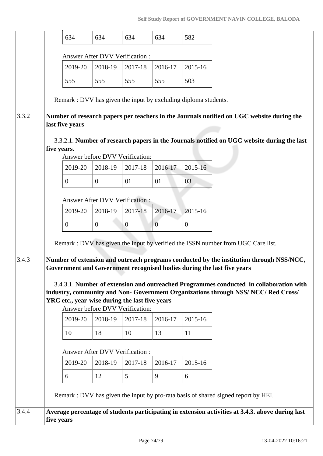|       |            | 634                                                             | 634                                   | 634            | 634            | 582            |                                                                                                                                                                            |
|-------|------------|-----------------------------------------------------------------|---------------------------------------|----------------|----------------|----------------|----------------------------------------------------------------------------------------------------------------------------------------------------------------------------|
|       |            |                                                                 | Answer After DVV Verification :       |                |                |                |                                                                                                                                                                            |
|       |            | 2019-20                                                         | 2018-19                               | 2017-18        | 2016-17        | 2015-16        |                                                                                                                                                                            |
|       |            | 555                                                             | 555                                   | 555            | 555            | 503            |                                                                                                                                                                            |
|       |            | Remark : DVV has given the input by excluding diploma students. |                                       |                |                |                |                                                                                                                                                                            |
| 3.3.2 |            | last five years                                                 |                                       |                |                |                | Number of research papers per teachers in the Journals notified on UGC website during the                                                                                  |
|       |            | five years.                                                     | Answer before DVV Verification:       |                |                |                | 3.3.2.1. Number of research papers in the Journals notified on UGC website during the last                                                                                 |
|       |            | 2019-20                                                         | 2018-19                               | 2017-18        | 2016-17        | 2015-16        |                                                                                                                                                                            |
|       |            | $\overline{0}$                                                  | $\overline{0}$                        | 01             | 01             | 03             |                                                                                                                                                                            |
|       |            |                                                                 | <b>Answer After DVV Verification:</b> |                |                |                |                                                                                                                                                                            |
|       |            | 2019-20                                                         | 2018-19                               | 2017-18        | 2016-17        | 2015-16        |                                                                                                                                                                            |
|       |            | $\Omega$                                                        | $\boldsymbol{0}$                      | $\overline{0}$ | $\overline{0}$ | $\overline{0}$ |                                                                                                                                                                            |
|       |            |                                                                 |                                       |                |                |                | Remark : DVV has given the input by verified the ISSN number from UGC Care list.                                                                                           |
| 3.4.3 |            |                                                                 |                                       |                |                |                | Number of extension and outreach programs conducted by the institution through NSS/NCC,<br>Government and Government recognised bodies during the last five years          |
|       |            | YRC etc., year-wise during the last five years                  | Answer before DVV Verification:       |                |                |                | 3.4.3.1. Number of extension and outreached Programmes conducted in collaboration with<br>industry, community and Non- Government Organizations through NSS/NCC/Red Cross/ |
|       |            | 2019-20                                                         | 2018-19                               | 2017-18        | 2016-17        | 2015-16        |                                                                                                                                                                            |
|       |            | 10                                                              | 18                                    | 10             | 13             | 11             |                                                                                                                                                                            |
|       |            |                                                                 | Answer After DVV Verification:        |                |                |                |                                                                                                                                                                            |
|       |            | 2019-20                                                         | 2018-19                               | 2017-18        | 2016-17        | 2015-16        |                                                                                                                                                                            |
|       |            | 6                                                               | 12                                    | 5              | 9              | 6              |                                                                                                                                                                            |
|       |            |                                                                 |                                       |                |                |                | Remark : DVV has given the input by pro-rata basis of shared signed report by HEI.                                                                                         |
| 3.4.4 | five years |                                                                 |                                       |                |                |                | Average percentage of students participating in extension activities at 3.4.3. above during last                                                                           |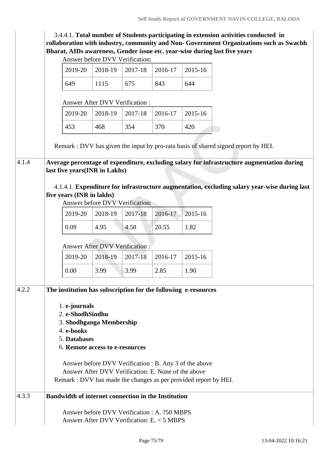3.4.4.1. **Total number of Students participating in extension activities conducted in collaboration with industry, community and Non- Government Organizations such as Swachh Bharat, AIDs awareness, Gender issue etc. year-wise during last five years**

Answer before DVV Verification:

|       | 2019-20                                                                                                                           | 2018-19                                                                                                                                                                      | 2017-18 | 2016-17 | 2015-16 |                                                                                    |                                                                                              |  |
|-------|-----------------------------------------------------------------------------------------------------------------------------------|------------------------------------------------------------------------------------------------------------------------------------------------------------------------------|---------|---------|---------|------------------------------------------------------------------------------------|----------------------------------------------------------------------------------------------|--|
|       | 649                                                                                                                               | 1115                                                                                                                                                                         | 675     | 843     | 644     |                                                                                    |                                                                                              |  |
|       |                                                                                                                                   | Answer After DVV Verification:                                                                                                                                               |         |         |         |                                                                                    |                                                                                              |  |
|       | 2019-20                                                                                                                           | 2018-19                                                                                                                                                                      | 2017-18 | 2016-17 | 2015-16 |                                                                                    |                                                                                              |  |
|       | 453                                                                                                                               | 468                                                                                                                                                                          | 354     | 370     | 420     |                                                                                    |                                                                                              |  |
|       |                                                                                                                                   |                                                                                                                                                                              |         |         |         | Remark : DVV has given the input by pro-rata basis of shared signed report by HEI. |                                                                                              |  |
| 4.1.4 | last five years(INR in Lakhs)                                                                                                     |                                                                                                                                                                              |         |         |         |                                                                                    | Average percentage of expenditure, excluding salary for infrastructure augmentation during   |  |
|       | five years (INR in lakhs)                                                                                                         | Answer before DVV Verification:                                                                                                                                              |         |         |         |                                                                                    | 4.1.4.1. Expenditure for infrastructure augmentation, excluding salary year-wise during last |  |
|       | 2019-20                                                                                                                           | 2018-19                                                                                                                                                                      | 2017-18 | 2016-17 | 2015-16 |                                                                                    |                                                                                              |  |
|       | 0.09                                                                                                                              | 4.95                                                                                                                                                                         | 4.58    | 20.55   | 1.82    |                                                                                    |                                                                                              |  |
|       |                                                                                                                                   | Answer After DVV Verification :                                                                                                                                              |         |         |         |                                                                                    |                                                                                              |  |
|       | 2019-20                                                                                                                           | 2018-19                                                                                                                                                                      | 2017-18 | 2016-17 | 2015-16 |                                                                                    |                                                                                              |  |
|       | 0.00                                                                                                                              | 3.99                                                                                                                                                                         | 3.99    | 2.85    | 1.90    |                                                                                    |                                                                                              |  |
| 4.2.2 | The institution has subscription for the following e-resources<br>1. e-journals<br>2. e-ShodhSindhu<br>4. e-books<br>5. Databases | 3. Shodhganga Membership<br>6. Remote access to e-resources<br>Answer before DVV Verification : B. Any 3 of the above<br>Answer After DVV Verification: E. None of the above |         |         |         |                                                                                    |                                                                                              |  |
|       |                                                                                                                                   | Remark : DVV has made the changes as per provided report by HEI.                                                                                                             |         |         |         |                                                                                    |                                                                                              |  |
| 4.3.3 | <b>Bandwidth of internet connection in the Institution</b>                                                                        | Answer before DVV Verification : A. 250 MBPS<br>Answer After DVV Verification: E. < 5 MBPS                                                                                   |         |         |         |                                                                                    |                                                                                              |  |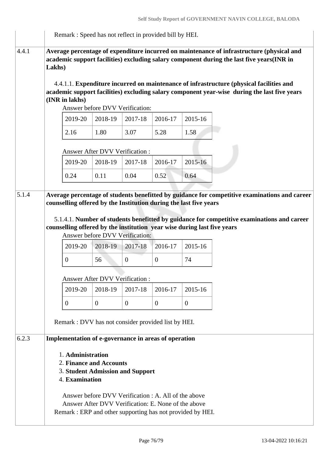| 4.4.1 | Remark: Speed has not reflect in provided bill by HEI.<br>Lakhs)        |                                                                                                             |                |              |                  | Average percentage of expenditure incurred on maintenance of infrastructure (physical and<br>academic support facilities) excluding salary component during the last five years(INR in  |
|-------|-------------------------------------------------------------------------|-------------------------------------------------------------------------------------------------------------|----------------|--------------|------------------|-----------------------------------------------------------------------------------------------------------------------------------------------------------------------------------------|
|       | (INR in lakhs)                                                          | Answer before DVV Verification:                                                                             |                |              |                  | 4.4.1.1. Expenditure incurred on maintenance of infrastructure (physical facilities and<br>academic support facilities) excluding salary component year-wise during the last five years |
|       | 2019-20                                                                 | 2018-19                                                                                                     | 2017-18        | 2016-17      | 2015-16          |                                                                                                                                                                                         |
|       | 2.16                                                                    | 1.80                                                                                                        | 3.07           | 5.28         | 1.58             |                                                                                                                                                                                         |
|       |                                                                         | <b>Answer After DVV Verification:</b>                                                                       |                |              |                  |                                                                                                                                                                                         |
|       | 2019-20                                                                 | 2018-19                                                                                                     | 2017-18        | 2016-17      | $2015 - 16$      |                                                                                                                                                                                         |
|       | 0.24                                                                    | 0.11                                                                                                        | 0.04           | 0.52         | 0.64             |                                                                                                                                                                                         |
|       | counselling offered by the institution year wise during last five years | Answer before DVV Verification:                                                                             |                |              |                  | 5.1.4.1. Number of students benefitted by guidance for competitive examinations and career                                                                                              |
|       |                                                                         |                                                                                                             |                |              |                  |                                                                                                                                                                                         |
|       | 2019-20                                                                 | 2018-19                                                                                                     | 2017-18        | 2016-17      | 2015-16          |                                                                                                                                                                                         |
|       | $\boldsymbol{0}$                                                        | 56                                                                                                          | $\overline{0}$ | $\mathbf{0}$ | 74               |                                                                                                                                                                                         |
|       |                                                                         | <b>Answer After DVV Verification:</b>                                                                       |                |              |                  |                                                                                                                                                                                         |
|       | 2019-20                                                                 | 2018-19                                                                                                     | 2017-18        | 2016-17      | 2015-16          |                                                                                                                                                                                         |
|       | $\overline{0}$                                                          | $\overline{0}$                                                                                              | $\overline{0}$ | $\mathbf{0}$ | $\boldsymbol{0}$ |                                                                                                                                                                                         |
|       | Remark: DVV has not consider provided list by HEI.                      |                                                                                                             |                |              |                  |                                                                                                                                                                                         |
| 6.2.3 | Implementation of e-governance in areas of operation                    |                                                                                                             |                |              |                  |                                                                                                                                                                                         |
|       | 1. Administration<br>4. Examination                                     | 2. Finance and Accounts<br><b>3. Student Admission and Support</b>                                          |                |              |                  |                                                                                                                                                                                         |
|       | Remark : ERP and other supporting has not provided by HEI.              | Answer before DVV Verification : A. All of the above<br>Answer After DVV Verification: E. None of the above |                |              |                  |                                                                                                                                                                                         |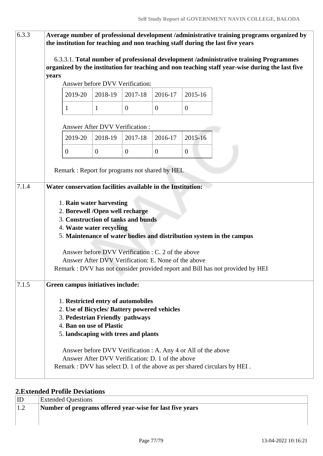| 6.3.3 | the institution for teaching and non teaching staff during the last five years                    |                                                                                                           |              |                |                | Average number of professional development /administrative training programs organized by                                                                                                |
|-------|---------------------------------------------------------------------------------------------------|-----------------------------------------------------------------------------------------------------------|--------------|----------------|----------------|------------------------------------------------------------------------------------------------------------------------------------------------------------------------------------------|
|       | years                                                                                             |                                                                                                           |              |                |                | 6.3.3.1. Total number of professional development /administrative training Programmes<br>organized by the institution for teaching and non teaching staff year-wise during the last five |
|       |                                                                                                   | Answer before DVV Verification:                                                                           |              |                |                |                                                                                                                                                                                          |
|       | 2019-20                                                                                           | 2018-19                                                                                                   | 2017-18      | 2016-17        | 2015-16        |                                                                                                                                                                                          |
|       | 1                                                                                                 | $\mathbf{1}$                                                                                              | $\mathbf{0}$ | $\overline{0}$ | $\overline{0}$ |                                                                                                                                                                                          |
|       |                                                                                                   | Answer After DVV Verification:                                                                            |              |                |                |                                                                                                                                                                                          |
|       | 2019-20                                                                                           | 2018-19                                                                                                   | 2017-18      | 2016-17        | 2015-16        |                                                                                                                                                                                          |
|       | $\mathbf{0}$                                                                                      | $\theta$                                                                                                  | $\mathbf{0}$ | $\overline{0}$ | $\overline{0}$ |                                                                                                                                                                                          |
|       | Remark: Report for programs not shared by HEI.                                                    |                                                                                                           |              |                |                |                                                                                                                                                                                          |
| 7.1.4 | Water conservation facilities available in the Institution:<br>1. Rain water harvesting           |                                                                                                           |              |                |                |                                                                                                                                                                                          |
|       | 2. Borewell /Open well recharge<br>3. Construction of tanks and bunds<br>4. Waste water recycling |                                                                                                           |              |                |                |                                                                                                                                                                                          |
|       |                                                                                                   |                                                                                                           |              |                |                | 5. Maintenance of water bodies and distribution system in the campus                                                                                                                     |
|       |                                                                                                   | Answer before DVV Verification : C. 2 of the above<br>Answer After DVV Verification: E. None of the above |              |                |                |                                                                                                                                                                                          |
|       |                                                                                                   |                                                                                                           |              |                |                | Remark : DVV has not consider provided report and Bill has not provided by HEI                                                                                                           |
| 7.1.5 | Green campus initiatives include:                                                                 |                                                                                                           |              |                |                |                                                                                                                                                                                          |
|       | 1. Restricted entry of automobiles                                                                |                                                                                                           |              |                |                |                                                                                                                                                                                          |
|       | 2. Use of Bicycles/ Battery powered vehicles<br>3. Pedestrian Friendly pathways                   |                                                                                                           |              |                |                |                                                                                                                                                                                          |
|       | 4. Ban on use of Plastic                                                                          |                                                                                                           |              |                |                |                                                                                                                                                                                          |
|       | 5. landscaping with trees and plants                                                              |                                                                                                           |              |                |                |                                                                                                                                                                                          |
|       |                                                                                                   | Answer before DVV Verification : A. Any 4 or All of the above                                             |              |                |                |                                                                                                                                                                                          |
|       |                                                                                                   | Answer After DVV Verification: D. 1 of the above                                                          |              |                |                | Remark : DVV has select D. 1 of the above as per shared circulars by HEI.                                                                                                                |
|       |                                                                                                   |                                                                                                           |              |                |                |                                                                                                                                                                                          |

## **2.Extended Profile Deviations**

| ID  | <b>Extended Questions</b>                                |
|-----|----------------------------------------------------------|
| 1.2 | Number of programs offered year-wise for last five years |
|     |                                                          |
|     |                                                          |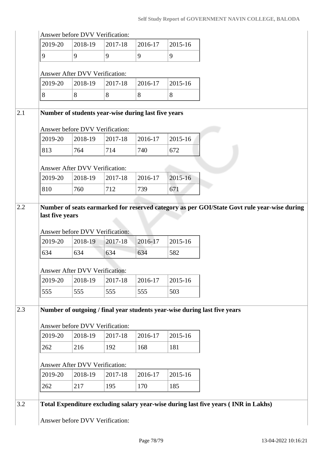|                | Answer before DVV Verification:       |                |                                                                                    |                |
|----------------|---------------------------------------|----------------|------------------------------------------------------------------------------------|----------------|
| 2019-20        | 2018-19                               | 2017-18        | 2016-17                                                                            | 2015-16        |
| $\overline{9}$ | 9                                     | 9              | 9                                                                                  | 9              |
|                | Answer After DVV Verification:        |                |                                                                                    |                |
| 2019-20        | 2018-19                               | 2017-18        | 2016-17                                                                            | 2015-16        |
| $8\,$          | 8                                     | 8              | 8                                                                                  | 8              |
|                | Answer before DVV Verification:       |                | Number of students year-wise during last five years                                |                |
| 2019-20        | 2018-19                               | 2017-18        | 2016-17                                                                            | 2015-16        |
| 813            | 764                                   | 714            | 740                                                                                | 672            |
|                | Answer After DVV Verification:        |                |                                                                                    |                |
| 2019-20        | 2018-19                               | 2017-18        | 2016-17                                                                            | 2015-16        |
| 810            | 760                                   | 712            | 739                                                                                | 671            |
| 2019-20<br>634 | 2018-19<br>634                        | 2017-18<br>634 | 2016-17<br>634                                                                     | 2015-16<br>582 |
|                |                                       |                |                                                                                    |                |
|                | <b>Answer After DVV Verification:</b> |                |                                                                                    |                |
| 2019-20        | 2018-19                               | 2017-18        | 2016-17                                                                            | 2015-16        |
| 555            | 555                                   | 555            | 555                                                                                | 503            |
|                | Answer before DVV Verification:       |                | Number of outgoing / final year students year-wise during last five years          |                |
| 2019-20        | 2018-19                               | 2017-18        | 2016-17                                                                            | 2015-16        |
| 262            | 216                                   | 192            | 168                                                                                | 181            |
|                | Answer After DVV Verification:        |                |                                                                                    |                |
| 2019-20        | 2018-19                               | 2017-18        | 2016-17                                                                            | 2015-16        |
| 262            | 217                                   | 195            | 170                                                                                | 185            |
|                | Answer before DVV Verification:       |                | Total Expenditure excluding salary year-wise during last five years (INR in Lakhs) |                |